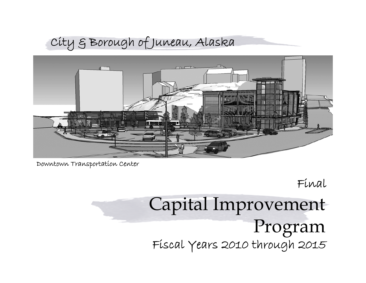# City & Borough of Juneau, Alaska



Downtown Transportation Center

Final

# Capital Improvement Program Fiscal Years 2010 through 2015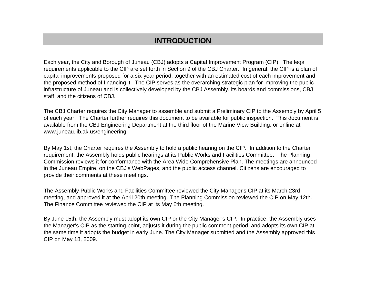# **INTRODUCTION**

Each year, the City and Borough of Juneau (CBJ) adopts a Capital Improvement Program (CIP). The legal requirements applicable to the CIP are set forth in Section 9 of the CBJ Charter. In general, the CIP is a plan of capital improvements proposed for a six-year period, together with an estimated cost of each improvement and the proposed method of financing it. The CIP serves as the overarching strategic plan for improving the public infrastructure of Juneau and is collectively developed by the CBJ Assembly, its boards and commissions, CBJ staff, and the citizens of CBJ.

The CBJ Charter requires the City Manager to assemble and submit a Preliminary CIP to the Assembly by April 5 of each year. The Charter further requires this document to be available for public inspection. This document is available from the CBJ Engineering Department at the third floor of the Marine View Building, or online at www.juneau.lib.ak.us/engineering.

By May 1st, the Charter requires the Assembly to hold a public hearing on the CIP. In addition to the Charter requirement, the Assembly holds public hearings at its Public Works and Facilities Committee. The Planning Commission reviews it for conformance with the Area Wide Comprehensive Plan. The meetings are announced in the Juneau Empire, on the CBJ's WebPages, and the public access channel. Citizens are encouraged to provide their comments at these meetings.

The Assembly Public Works and Facilities Committee reviewed the City Manager's CIP at its March 23rd meeting, and approved it at the April 20th meeting. The Planning Commission reviewed the CIP on May 12th. The Finance Committee reviewed the CIP at its May 6th meeting.

By June 15th, the Assembly must adopt its own CIP or the City Manager's CIP. In practice, the Assembly uses the Manager's CIP as the starting point, adjusts it during the public comment period, and adopts its own CIP at the same time it adopts the budget in early June. The City Manager submitted and the Assembly approved this CIP on May 18, 2009.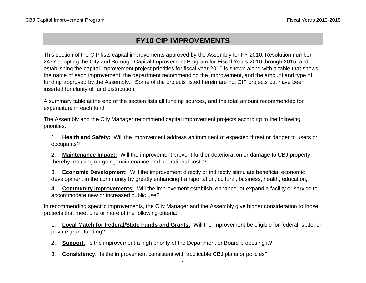# **FY10 CIP IMPROVEMENTS**

This section of the CIP lists capital improvements approved by the Assembly for FY 2010. Resolution number 2477 adopting the City and Borough Capital Improvement Program for Fiscal Years 2010 through 2015, and establishing the capital improvement project priorities for fiscal year 2010 is shown along with a table that shows the name of each improvement, the department recommending the improvement, and the amount and type of funding approved by the Assembly. Some of the projects listed herein are not CIP projects but have been inserted for clarity of fund distribution.

A summary table at the end of the section lists all funding sources, and the total amount recommended for expenditure in each fund.

The Assembly and the City Manager recommend capital improvement projects according to the following priorities.

1. **Health and Safety:** Will the improvement address an imminent of expected threat or danger to users or occupants?

2. **Maintenance Impact:** Will the improvement prevent further deterioration or damage to CBJ property, thereby reducing on-going maintenance and operational costs?

3. **Economic Development:** Will the improvement directly or indirectly stimulate beneficial economic development in the community by greatly enhancing transportation, cultural, business, health, education,

4. **Community Improvements:** Will the improvement establish, enhance, or expand a facility or service to accommodate new or increased public use?

In recommending specific improvements, the City Manager and the Assembly give higher consideration to those projects that meet one or more of the following criteria:

1. **Local Match for Federal/State Funds and Grants.** Will the improvement be eligible for federal, state, or private grant funding?

2. **Support.** Is the improvement a high priority of the Department or Board proposing it?

3. **Consistency.** Is the improvement consistent with applicable CBJ plans or policies?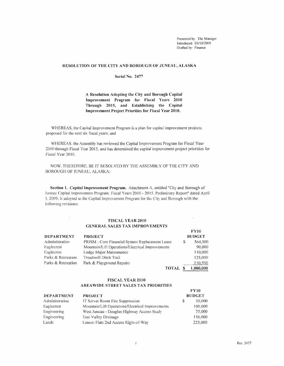Presented by: The Manager Introduced: 05/18/2009 Drafted by: Finance

FYlO

 $\bar{z}$ 

#### RESOLUTION OF THE CITY AND BOROUGH OF JUNEAU, ALASKA

#### Serial No. **2477**

**A** Resolution Adopting the City and Borough Capital Improvement Program for Fiscal Years 2010 Through 2015, and Establishing the Capital Improvement Project Priorities for Fiscal Year 2010.

WHEREAS, the Capital Improvement Program is a plan for capital improvement projects proposed for the next six fiscal years; and

WHEREAS, the Assembly has reviewed the Capital Improvement Program for Fiscal Year 2010 through Fiscal Year 2015, and has determined the capital improvement project priorities for Fiscal Year 3010.

NOW. THEREFORE. BE IT RESOLVED BY THE ASSEMBLY OF THE CITY AND BOROUGH OF JUNEAU, ALASKA:

Section 1. Capital Improvement Program. Attachment A, entitled "City and Borough of Juneau Capital Improvement Program. Fiscal Years 2010 - 201 *5.* Preliminary Report" dated April 3. 2009, is adopted as the Capital Improvement Program for the City and Borough with the following revisions:

#### FISCAL YEAR 2010 GENERAL SALES TAX IMPROVEMENTS

 $\bar{z}$ 

|                    |                                                  |    | .             |
|--------------------|--------------------------------------------------|----|---------------|
| <b>DEPARTMENT</b>  | <b>PROJECT</b>                                   |    | <b>BUDGET</b> |
| Administration     | PRISM - Core Financial System Replacement Lease  | S. | 564,500       |
| Eaglecrest         | Mountain/Lift Operations/Electrical Improvements |    | 90,000        |
| Eaglecrest         | Lodge Major Maintenance                          |    | 110,000       |
| Parks & Recreation | Treadwell Ditch Trail                            |    | 125,000       |
| Parks & Recreation | Park & Playground Repairs                        |    | 110,500       |
|                    | <b>TOTAL</b>                                     |    | 1,000,000     |

#### FISCAL YEAR 2010 AREAWIDE STREET SALES TAX PRfORlTIES

|                   |                                                  |    | <b>FY10</b>   |
|-------------------|--------------------------------------------------|----|---------------|
| <b>DEPARTMENT</b> | <b>PROJECT</b>                                   |    | <b>BUDGET</b> |
| Administration    | IT Server Room Fire Suppression                  | S. | 50,000        |
| Eaglecrest        | Mountain/Lift Operations/Electrical Improvements |    | 100,000       |
| Engineering       | West Juneau - Douglas Highway Access Study       |    | 75,000        |
| Engineering       | East Valley Drainage                             |    | 150,000       |
| Lands             | Lemon Flats 2nd Access Right-of-Way              |    | 225,000       |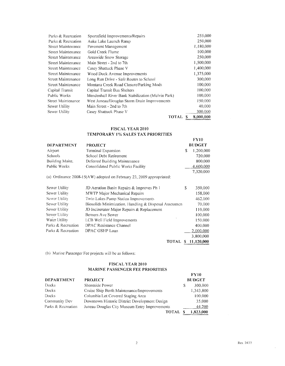| Parks & Recreation | Sportsfield Improvements/Repairs                  | 255,000   |
|--------------------|---------------------------------------------------|-----------|
| Parks & Recreation | Auke Lake Launch Ramp                             | 250,000   |
| Street Maintenance | Pavement Management                               | 1.180,000 |
| Street Maintenance | Gold Creek Flume                                  | 100,000   |
| Street Maintenance | Areawide Snow Storage                             | 250,000   |
| Street Maintenance | Main Street - 2nd to 7th                          | 1,500,000 |
| Street Maintenance | Casey Shattuck Phase V                            | 1,400,000 |
| Street Maintenance | Wood Duck Avenue Improvements                     | 1,375,000 |
| Street Maintenance | Long Run Drive - Safe Routes to School            | 300,000   |
| Street Maintenance | Montana Creek Road Closure/Parking Mods           | 100.000   |
| Capital Transit    | Capital Transit Bus Shelters                      | 100,000   |
| Public Works       | Mendenhall River Bank Stabilization (Melvin Park) | 100,000   |
| Street Maintenance | West Juneau/Douglas Storm Drain Improvements      | 150.000   |
| Sewer Utility      | Main Street - 2nd to 7th                          | 40,000    |
| Sewer Utility      | Casey Shattuck Phase V                            | 300,000   |
|                    | TOTAL                                             | 8,000,000 |

#### **FISCAL YEAR 2010**

#### **TEMPORARY 1** %, **SALES TAX PRIORITIES**

|                    |                                                                        |             | <b>FY10</b>   |
|--------------------|------------------------------------------------------------------------|-------------|---------------|
| <b>DEPARTMENT</b>  | <b>PROJECT</b>                                                         |             | <b>BUDGET</b> |
| Airport            | Terminal Expansion                                                     | \$          | 1,200,000     |
| Schools            | School Debt Retirement                                                 |             | 720,000       |
| Building Maint.    | Deferred Building Maintenance                                          |             | 800,000       |
| Public Works       | Consolidated Public Works Facility                                     |             | 4,600,000     |
|                    |                                                                        |             | 7,320,000     |
|                    | (a) Ordinance $2008-15(AW)$ adopted on February 23, 2009 appropriated: |             |               |
| Sewer Utility      | JD Aeration Basin Repairs & Improves Ph 1                              | S           | 350,000       |
| Sewer Utility      | MWTP Major Mechanical Repairs                                          |             | 158,000       |
| Sewer Utility      | Twin Lakes Pump Station Improvements                                   |             | 462,000       |
| Sewer Utility      | Biosolids Minimization, Handling & Disposal Assessmen                  |             | 70,000        |
| Sewer Utility      | JD Incinerator Major Repairs & Replacement                             |             | 110,000       |
| Sewer Utility      | Berners Ave Sewer                                                      |             | 100,000       |
| Water Utility      | LCB Well Field Improvements                                            |             | 150,000       |
| Parks & Recreation | DPAC Resistance Channel                                                |             | 400.000       |
| Parks & Recreation | DPAC GSHP Loan                                                         |             | 2,000,000     |
|                    |                                                                        |             | 3,800,000     |
|                    | <b>TOTAL</b>                                                           | $S_{\perp}$ | 11,120,000    |

(b) Marine Passenger Fee projects will be as follows:

#### **FISCAL YEAR 2010 MARINE PASSENGER FEE PRIORITIES**

| <b>DEPARTMENT</b>  | <b>PROJECT</b>                                |   | <b>FY10</b><br><b>BUDGET</b> |
|--------------------|-----------------------------------------------|---|------------------------------|
| <b>Docks</b>       | Shoreside Power                               | S | 300,000                      |
| Docks              | Cruise Ship Berth Maintenance/Improvements    |   | 1,343,800                    |
| Docks              | Columbia Lot Covered Staging Area             |   | 100,000                      |
| Community Dev      | Downtown Historic District Development Design |   | 35,000                       |
| Parks & Recreation | Juneau Douglas City Museum Entry Improvements |   | 44,200                       |
|                    | TOTAL                                         |   | .823.000                     |

 $\sim$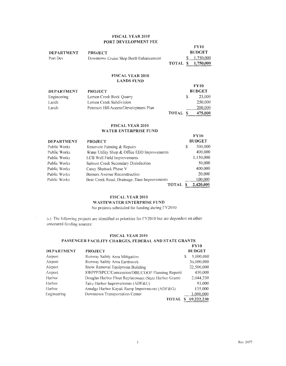#### **FISCAL YEAR 2010 PORT DEVELOPMENT FEE**

|                   |                                        | <b>FY10</b>                                                                  |
|-------------------|----------------------------------------|------------------------------------------------------------------------------|
| <b>DEPARTMENT</b> | <b>PROJECT</b>                         | <b>BUDGET</b>                                                                |
| Port Dev          | Downtown Cruise Ship Berth Enhancement | \$1,750,000                                                                  |
|                   |                                        | TOTAL \$ 1,750,000<br>statement the company of the control of the control of |

#### **FISCAL YEAR 2010 LANDS FUND**

|                   |                                       |              | <b>FY10</b>   |
|-------------------|---------------------------------------|--------------|---------------|
| <b>DEPARTMENT</b> | <b>PROJECT</b>                        |              | <b>BUDGET</b> |
| Engineering       | Lemon Creek Rock Quarry               |              | 25,000        |
| Lands             | Lemon Creek Subdivision               |              | 250,000       |
| Lands             | Peterson Hill Access/Development Plan |              | 200,000       |
|                   |                                       | <b>TOTAL</b> | 475,000       |

#### **FISCAL YEAR 2010 WATER ENTERPRISE FUND**

| <b>DEPARTMENT</b> | <b>PROJECT</b>                               |   | <b>FY10</b><br><b>BUDGET</b> |
|-------------------|----------------------------------------------|---|------------------------------|
| Public Works      | Reservoir Painting & Repairs                 | S | 300,000                      |
| Public Works      | Water Utility Shop & Office EEO Improvements |   | 400,000                      |
| Public Works      | LCB Well Field Improvements                  |   | 1,150,000                    |
| Public Works      | Salmon Creek Secondary Disinfection          |   | 50,000                       |
| Public Works      | Casey Shattuck Phase V                       |   | 400.000                      |
| Public Works      | Berners Avenue Reconstruction                |   | 20.000                       |
| Public Works      | Bear Creek Road, Drainage, Dam Improvements  |   | 100,000                      |
|                   | TOTAL                                        |   | 2,420,000                    |

#### **FISCAL \'EAR 2010**

#### **WASTEWATER ENTERPRISE FUND**

No projects scheduled for funding during FY2010

(c) The following projects are identified as priorities for FY2010 but are dependent on other unsecured funding sources:

#### **FISCAL YEAR 2010**

#### **PASSENGER FACILITY CHARGES, FEDERAL AND STATE GRANTS**

|             |                                                       | <b>FY10</b>         |
|-------------|-------------------------------------------------------|---------------------|
| DEPARTMENT  | <b>PROJECT</b>                                        | <b>BUDGET</b>       |
| Airport     | Runway Safety Area Mitigation                         | 5,000,000           |
| Airport     | Runway Safety Area Earthwork                          | 36,000,000          |
| Airport     | Snow Removal Equipment Building                       | 22,500,000          |
| Airport     | SWPPP/SPCC/Concession/DBE/COOP Planning Reporti       | 450,000             |
| Harbor      | Douglas Harbor Float Replacement (State Harbor Grant) | 2,044,230           |
| Harbor      | Taku Harbor Improvements (ADF&G)                      | 93,000              |
| Harbor      | Amalga Harbor Kayak Ramp Improvments (ADF&G)          | 135,000             |
| Engineering | Downtown Transportation Center                        | 3,000,000           |
|             |                                                       | TOTAL \$ 69,222,230 |
|             |                                                       |                     |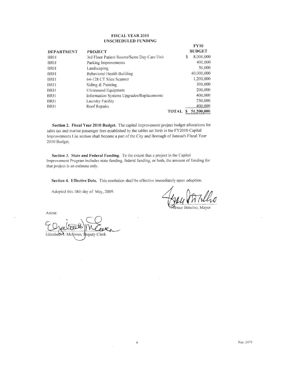#### **FISCAL YEAR 2010 UNSCHEDULED FUNDING**

| <b>DEPARTMENT</b> | <b>PROJECT</b>                             |              |    | <b>FY10</b><br><b>BUDGET</b> |
|-------------------|--------------------------------------------|--------------|----|------------------------------|
| BRH               | 3rd Floor Patient Rooms/Same Day Care Unit |              | S  | 8,000,000                    |
| BRH               | Parking Improvements                       |              |    | 400,000                      |
| BRH               | Landscaping                                |              |    | 50,000                       |
| BRH               | Behavioral Health Building                 |              |    | 40,000,000                   |
| BRH               | 64-128 CT Slice Scanner                    |              |    | 1,200,000                    |
| BRH               | Siding & Painting                          |              |    | 300.000                      |
| <b>BRH</b>        | Ultrasound Equipment                       |              |    | 200,000                      |
| BRH               | Information Systems Upgrades/Replacements  |              |    | 400,000                      |
| BRH               | Laundry Facility                           |              |    | 250,000                      |
| BRH               | Roof Repairs                               |              |    | 400,000                      |
|                   |                                            | <b>TOTAL</b> | S. | 51,200,000                   |

**Section 2. Fiscal Year 2010 Budget.** The capital improvement project budget allocations for sales tas and marine passenger fees established by the tables set forth in the FY20 10 Capital Improvements List section shall become a part of the City and Borough of Juneau's Fiscal Year 2010 Budget.

**Section 3. State and Federal Funding.** To the extent that a project in the Capital Improvement Program includes state funding, federal funding, or both, the amount of funding for that project is an estimate only.

**Section 4. Effective Date.** This resolution shall be effective immediately upon adoption.

4

Adopted this 18th day of May, 2009.

uce Botelho, Mayor

Attest: Elizabeth . McGwen, Ibeputy Clerk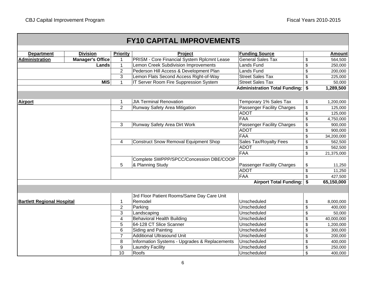| <b>FY10 CAPITAL IMPROVEMENTS</b>  |                         |                         |                                                    |                                      |                    |               |
|-----------------------------------|-------------------------|-------------------------|----------------------------------------------------|--------------------------------------|--------------------|---------------|
| <b>Department</b>                 | <b>Division</b>         | <b>Priority</b>         | Project                                            | <b>Funding Source</b>                |                    | <b>Amount</b> |
| <b>Administration</b>             | <b>Manager's Office</b> |                         | <b>PRISM - Core Financial System Rplcmnt Lease</b> | <b>General Sales Tax</b>             | \$                 | 564,500       |
|                                   | Lands                   | $\mathbf{1}$            | Lemon Creek Subdivision Improvements               | Lands Fund                           | \$                 | 250,000       |
|                                   |                         | $\overline{2}$          | Pederson Hill Access & Development Plan            | <b>Lands Fund</b>                    | \$                 | 200,000       |
|                                   |                         | 3                       | Lemon Flats Second Access Right-of-Way             | <b>Street Sales Tax</b>              | \$                 | 225,000       |
|                                   | <b>MIS</b>              | 1                       | IT Server Room Fire Suppression System             | <b>Street Sales Tax</b>              | \$                 | 50,000        |
|                                   |                         |                         |                                                    | <b>Administration Total Funding:</b> | \$                 | 1,289,500     |
|                                   |                         |                         |                                                    |                                      |                    |               |
| <b>Airport</b>                    |                         | 1                       | <b>JIA Terminal Renovation</b>                     | Temporary 1% Sales Tax               | \$                 | 1,200,000     |
|                                   |                         | $\overline{2}$          | Runway Safety Area Mitigation                      | <b>Passenger Facility Charges</b>    | \$                 | 125,000       |
|                                   |                         |                         |                                                    | <b>ADOT</b>                          | \$                 | 125,000       |
|                                   |                         |                         |                                                    | <b>FAA</b>                           | \$                 | 4,750,000     |
|                                   |                         | 3                       | Runway Safety Area Dirt Work                       | Passenger Facility Charges           | \$                 | 900,000       |
|                                   |                         |                         |                                                    | <b>ADOT</b>                          | \$                 | 900,000       |
|                                   |                         |                         |                                                    | FAA                                  | $\mathsf{\$}$      | 34,200,000    |
|                                   |                         | $\overline{4}$          | <b>Construct Snow Removal Equipment Shop</b>       | Sales Tax/Royalty Fees               | \$                 | 562,500       |
|                                   |                         |                         |                                                    | <b>ADOT</b>                          | \$                 | 562,500       |
|                                   |                         |                         |                                                    | FAA                                  | \$                 | 21,375,000    |
|                                   |                         |                         | Complete SWPPP/SPCC/Concession DBE/COOP            |                                      |                    |               |
|                                   |                         | 5                       | & Planning Study                                   | Passenger Facility Charges           | \$                 | 11,250        |
|                                   |                         |                         |                                                    | <b>ADOT</b>                          | \$                 | 11,250        |
|                                   |                         |                         |                                                    | <b>FAA</b>                           | $\mathsf{\$}$      | 427,500       |
|                                   |                         |                         |                                                    | Airport Total Funding: \$            |                    | 65,150,000    |
|                                   |                         |                         |                                                    |                                      |                    |               |
|                                   |                         |                         | 3rd Floor Patient Rooms/Same Day Care Unit         |                                      |                    |               |
| <b>Bartlett Regional Hospital</b> |                         | 1                       | Remodel                                            | Unscheduled                          | \$                 | 8,000,000     |
|                                   |                         | $\mathbf 2$             | Parking                                            | Unscheduled                          | \$                 | 400,000       |
|                                   |                         | 3                       | Landscaping                                        | Unscheduled                          | \$                 | 50,000        |
|                                   |                         | $\overline{\mathbf{4}}$ | Behavioral Health Building                         | Unscheduled                          | \$                 | 40,000,000    |
|                                   |                         | 5                       | 64-128 CT Slice Scanner                            | Unscheduled                          | \$                 | 1,200,000     |
|                                   |                         | 6                       | Siding and Painting                                | Unscheduled                          | \$                 | 300,000       |
|                                   |                         | $\overline{7}$          | Additional Ultrasound Unit                         | Unscheduled                          | \$                 | 200,000       |
|                                   |                         | 8                       | Information Systems - Upgrades & Replacements      | Unscheduled                          | \$                 | 400,000       |
|                                   |                         | 9                       | <b>Laundry Facility</b>                            | Unscheduled                          | \$                 | 250,000       |
|                                   |                         | 10                      | Roofs                                              | Unscheduled                          | $\mathbf{\hat{S}}$ | 400,000       |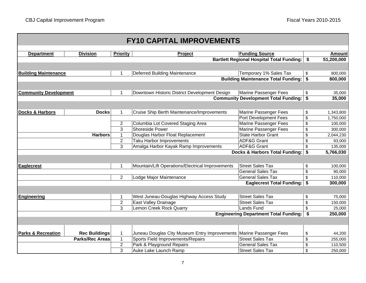| <b>FY10 CAPITAL IMPROVEMENTS</b>             |                                            |                 |                                                                     |                                                  |         |               |
|----------------------------------------------|--------------------------------------------|-----------------|---------------------------------------------------------------------|--------------------------------------------------|---------|---------------|
|                                              |                                            |                 |                                                                     |                                                  |         |               |
| <b>Department</b>                            | <b>Division</b>                            | <b>Priority</b> | <b>Project</b>                                                      | <b>Funding Source</b>                            |         | <b>Amount</b> |
|                                              |                                            |                 |                                                                     | <b>Bartlett Regional Hospital Total Funding:</b> | \$      | 51,200,000    |
|                                              |                                            |                 |                                                                     |                                                  |         |               |
| <b>Building Maintenance</b>                  |                                            | 1               | Deferred Building Maintenance                                       | Temporary 1% Sales Tax                           | \$      | 800,000       |
|                                              | <b>Building Maintenance Total Funding:</b> |                 |                                                                     | \$                                               | 800,000 |               |
|                                              |                                            |                 |                                                                     |                                                  |         |               |
| <b>Community Development</b>                 |                                            | 1               | Downtown Historic District Development Design                       | Marine Passenger Fees                            | \$      | 35,000        |
|                                              |                                            |                 |                                                                     | <b>Community Development Total Funding:</b>      | \$      | 35,000        |
|                                              |                                            |                 |                                                                     |                                                  |         |               |
| <b>Docks &amp; Harbors</b>                   | <b>Docks</b>                               | $\mathbf{1}$    | Cruise Ship Berth Maintenance/Improvements                          | Marine Passenger Fees                            | \$      | 1,343,800     |
|                                              |                                            |                 |                                                                     | Port Development Fees                            | \$      | 1,750,000     |
|                                              |                                            | $\overline{2}$  | Columbia Lot Covered Staging Area                                   | <b>Marine Passenger Fees</b>                     | \$      | 100,000       |
|                                              |                                            | 3               | <b>Shoreside Power</b>                                              | Marine Passenger Fees                            | \$      | 300,000       |
| <b>Harbors</b>                               |                                            | $\mathbf{1}$    | Douglas Harbor Float Replacement                                    | <b>State Harbor Grant</b>                        | \$      | 2,044,230     |
|                                              |                                            | $\overline{2}$  | <b>Taku Harbor Improvements</b>                                     | <b>ADF&amp;G Grant</b>                           | \$      | 93,000        |
|                                              |                                            | 3               | Amalga Harbor Kayak Ramp Improvements                               | <b>ADF&amp;G Grant</b>                           | \$      | 135,000       |
| Docks & Harbors Total Funding: \$            |                                            |                 |                                                                     | 5,766,030                                        |         |               |
|                                              |                                            |                 |                                                                     |                                                  |         |               |
| <b>Eaglecrest</b>                            |                                            | 1               | Mountain/Lift Operations/Electrical Improvements                    | <b>Street Sales Tax</b>                          | \$      | 100,000       |
|                                              |                                            |                 |                                                                     | <b>General Sales Tax</b>                         | \$      | 90,000        |
|                                              |                                            | $\overline{2}$  | Lodge Major Maintenance                                             | <b>General Sales Tax</b>                         | \$      | 110,000       |
|                                              |                                            |                 |                                                                     | Eaglecrest Total Funding: \$                     |         | 300,000       |
|                                              |                                            |                 |                                                                     |                                                  |         |               |
| Engineering                                  |                                            | 1               | West Juneau-Douglas Highway Access Study                            | <b>Street Sales Tax</b>                          | \$      | 75,000        |
|                                              |                                            | $\overline{2}$  | East Valley Drainage                                                | <b>Street Sales Tax</b>                          | \$      | 150,000       |
|                                              |                                            | 3               | <b>Lemon Creek Rock Quarry</b>                                      | Lands Fund                                       | \$      | 25,000        |
| <b>Engineering Department Total Funding:</b> |                                            |                 |                                                                     | \$                                               | 250,000 |               |
|                                              |                                            |                 |                                                                     |                                                  |         |               |
|                                              |                                            |                 |                                                                     |                                                  |         |               |
| <b>Parks &amp; Recreation</b>                | <b>Rec Buildings</b>                       | 1               | Juneau Douglas City Museum Entry Improvements Marine Passenger Fees |                                                  | \$      | 44,200        |
|                                              | <b>Parks/Rec Areas</b>                     | $\mathbf{1}$    | Sports Field Improvements/Repairs                                   | <b>Street Sales Tax</b>                          | \$      | 255,000       |
|                                              |                                            | $\overline{2}$  | Park & Playground Repairs                                           | <b>General Sales Tax</b>                         | \$      | 110,500       |
|                                              |                                            | 3               | Auke Lake Launch Ramp                                               | <b>Street Sales Tax</b>                          | \$      | 250,000       |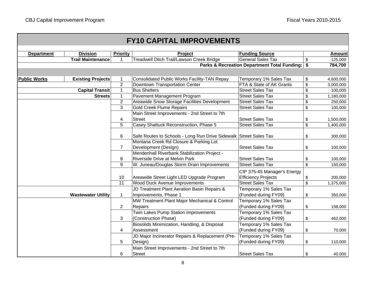|                     |                           |                 | <b>FY10 CAPITAL IMPROVEMENTS</b>                                     |                                                |                 |
|---------------------|---------------------------|-----------------|----------------------------------------------------------------------|------------------------------------------------|-----------------|
| <b>Department</b>   | <b>Division</b>           | <b>Priority</b> | <b>Project</b>                                                       | <b>Funding Source</b>                          | <b>Amount</b>   |
|                     | <b>Trail Maintenance</b>  | -1              | Treadwell Ditch Trail/Lawson Creek Bridge                            | <b>General Sales Tax</b>                       | \$<br>125,000   |
|                     |                           |                 |                                                                      | Parks & Recreation Department Total Funding:   | \$<br>784,700   |
|                     |                           |                 |                                                                      |                                                |                 |
| <b>Public Works</b> | <b>Existing Projects</b>  | $\mathbf 1$     | <b>Consolidated Public Works Facility-TAN Repay</b>                  | Temporary 1% Sales Tax                         | \$<br>4,600,000 |
|                     |                           | $\overline{2}$  | <b>Downtown Transportation Center</b>                                | FTA & State of AK Grants                       | \$<br>3,000,000 |
|                     | <b>Capital Transit</b>    | $\mathbf{1}$    | <b>Bus Shelters</b>                                                  | <b>Street Sales Tax</b>                        | \$<br>100,000   |
|                     | <b>Streets</b>            | $\mathbf{1}$    | Pavement Management Program                                          | <b>Street Sales Tax</b>                        | \$<br>1,180,000 |
|                     |                           | $\overline{2}$  | Areawide Snow Storage Facilities Development                         | <b>Street Sales Tax</b>                        | \$<br>250,000   |
|                     |                           | $\overline{3}$  | <b>Gold Creek Flume Repairs</b>                                      | <b>Street Sales Tax</b>                        | \$<br>100,000   |
|                     |                           |                 | Main Street Improvements - 2nd Street to 7th                         |                                                |                 |
|                     |                           | 4               | <b>Street</b>                                                        | <b>Street Sales Tax</b>                        | \$<br>1,500,000 |
|                     |                           | 5               | Casey Shattuck Reconstruction, Phase 5                               | <b>Street Sales Tax</b>                        | \$<br>1,400,000 |
|                     |                           | 6               | Safe Routes to Schools - Long Run Drive Sidewalk Street Sales Tax    |                                                | \$<br>300,000   |
|                     |                           |                 | Montana Creek Rd Closure & Parking Lot                               |                                                |                 |
|                     |                           | $\overline{7}$  | Development (Design)                                                 | <b>Street Sales Tax</b>                        | \$<br>100,000   |
|                     |                           |                 | Mendenhall Riverbank Stabilization Project -                         |                                                |                 |
|                     |                           | 8               | Riverside Drive at Melvin Park                                       | <b>Street Sales Tax</b>                        | \$<br>100,000   |
|                     |                           | 9               | W. Juneau/Douglas Storm Drain Improvements                           | <b>Street Sales Tax</b>                        | \$<br>150,000   |
|                     |                           |                 |                                                                      | CIP 375-45 Manager's Energy                    |                 |
|                     |                           | 10              | Areawide Street Light LED Upgrade Program                            | <b>Efficiency Projects</b>                     | \$<br>200,000   |
|                     |                           | 11              | <b>Wood Duck Avenue Improvements</b>                                 | <b>Street Sales Tax</b>                        | \$<br>1,375,000 |
|                     | <b>Wastewater Utility</b> | $\mathbf{1}$    | JD Treatment Plant Aeration Basin Repairs &<br>Improvements, Phase 1 | Temporary 1% Sales Tax<br>(Funded during FY09) | \$<br>350,000   |
|                     |                           |                 | MW Treatment Plant Major Mechanical & Control                        | Temporary 1% Sales Tax                         |                 |
|                     |                           | $\overline{2}$  | Repairs                                                              | (Funded during FY09)                           | \$<br>158,000   |
|                     |                           |                 | Twin Lakes Pump Station Improvements                                 | Temporary 1% Sales Tax                         |                 |
|                     |                           | 3               | (Construction Phase)                                                 | (Funded during FY09)                           | \$<br>462,000   |
|                     |                           |                 | Biosolids Minimization, Handling, & Disposal                         | Temporary 1% Sales Tax                         |                 |
|                     |                           | $\overline{4}$  | Assessment                                                           | (Funded during FY09)                           | \$<br>70,000    |
|                     |                           |                 | JD Major Incinerator Repairs & Replacement (Pre-                     | Temporary 1% Sales Tax                         |                 |
|                     |                           | 5               | Design)                                                              | (Funded during FY09)                           | \$<br>110,000   |
|                     |                           |                 | Main Street Improvements - 2nd Street to 7th                         |                                                |                 |
|                     |                           | 6               | <b>Street</b>                                                        | <b>Street Sales Tax</b>                        | \$<br>40,000    |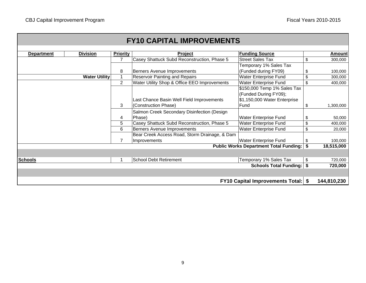|                   |                      |                 | <b>FY10 CAPITAL IMPROVEMENTS</b>              |                                               |      |             |
|-------------------|----------------------|-----------------|-----------------------------------------------|-----------------------------------------------|------|-------------|
|                   |                      |                 |                                               |                                               |      |             |
| <b>Department</b> | <b>Division</b>      | <b>Priority</b> | <b>Project</b>                                | <b>Funding Source</b>                         |      | Amount      |
|                   |                      | 7               | Casey Shattuck Subd Reconstruction, Phase 5   | <b>Street Sales Tax</b>                       | \$   | 300,000     |
|                   |                      |                 |                                               | Temporary 1% Sales Tax                        |      |             |
|                   |                      | 8               | Berners Avenue Improvements                   | (Funded during FY09)                          | \$   | 100,000     |
|                   | <b>Water Utility</b> |                 | <b>Reservoir Painting and Repairs</b>         | <b>Water Enterprise Fund</b>                  | \$   | 300,000     |
|                   |                      | $\overline{2}$  | Water Utility Shop & Office EEO Improvements  | Water Enterprise Fund                         | \$   | 400,000     |
|                   |                      |                 |                                               | \$150,000 Temp 1% Sales Tax                   |      |             |
|                   |                      |                 |                                               | (Funded During FY09);                         |      |             |
|                   |                      |                 | Last Chance Basin Well Field Improvements     | \$1,150,000 Water Enterprise                  |      |             |
|                   |                      | 3               | (Construction Phase)                          | Fund                                          | \$   | 1,300,000   |
|                   |                      |                 | Salmon Creek Secondary Disinfection (Design   |                                               |      |             |
|                   |                      | 4               | Phase)                                        | Water Enterprise Fund                         | \$   | 50,000      |
|                   |                      | 5               | Casey Shattuck Subd Reconstruction, Phase 5   | Water Enterprise Fund                         | \$   | 400,000     |
|                   |                      | 6               | Berners Avenue Improvements                   | Water Enterprise Fund                         | \$   | 20,000      |
|                   |                      |                 | Bear Creek Access Road, Storm Drainage, & Dam |                                               |      |             |
|                   |                      | 7               | Improvements                                  | <b>Water Enterprise Fund</b>                  | \$   | 100,000     |
|                   |                      |                 |                                               | <b>Public Works Department Total Funding:</b> | \$   | 18,515,000  |
|                   |                      |                 |                                               |                                               |      |             |
| <b>Schools</b>    |                      |                 | <b>School Debt Retirement</b>                 | Temporary 1% Sales Tax                        | \$   | 720,000     |
|                   |                      |                 |                                               | <b>Schools Total Funding:</b>                 | \$   | 720,000     |
|                   |                      |                 |                                               |                                               |      |             |
|                   |                      |                 |                                               | <b>FY10 Capital Improvements Total:</b>       | - \$ | 144,810,230 |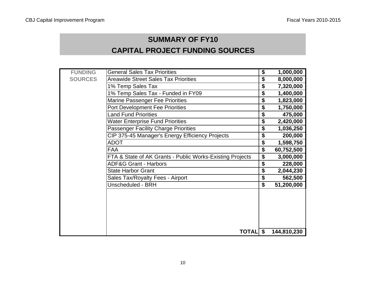# **SUMMARY OF FY10 CAPITAL PROJECT FUNDING SOURCES**

| <b>FUNDING</b> | General Sales Tax Priorities                              | \$<br>1,000,000  |
|----------------|-----------------------------------------------------------|------------------|
| <b>SOURCES</b> | <b>Areawide Street Sales Tax Priorities</b>               | \$<br>8,000,000  |
|                | 1% Temp Sales Tax                                         | \$<br>7,320,000  |
|                | 1% Temp Sales Tax - Funded in FY09                        | \$<br>1,400,000  |
|                | <b>Marine Passenger Fee Priorities</b>                    | \$<br>1,823,000  |
|                | <b>Port Development Fee Priorities</b>                    | \$<br>1,750,000  |
|                | <b>Land Fund Priorities</b>                               | \$<br>475,000    |
|                | <b>Water Enterprise Fund Priorities</b>                   | \$<br>2,420,000  |
|                | <b>Passenger Facility Charge Priorities</b>               | \$<br>1,036,250  |
|                | CIP 375-45 Manager's Energy Efficiency Projects           | \$<br>200,000    |
|                | <b>ADOT</b>                                               | \$<br>1,598,750  |
|                | <b>FAA</b>                                                | \$<br>60,752,500 |
|                | FTA & State of AK Grants - Public Works-Existing Projects | \$<br>3,000,000  |
|                | <b>ADF&amp;G Grant - Harbors</b>                          | \$<br>228,000    |
|                | <b>State Harbor Grant</b>                                 | \$<br>2,044,230  |
|                | Sales Tax/Royalty Fees - Airport                          | \$<br>562,500    |
|                | Unscheduled - BRH                                         | \$<br>51,200,000 |
|                |                                                           |                  |
|                | <b>TOTAL</b> \$                                           | 144,810,230      |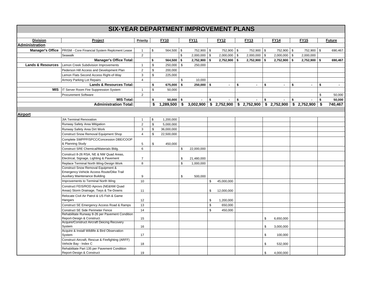|                              | <b>SIX-YEAR DEPARTMENT IMPROVEMENT PLANS</b>          |                         |             |                |                  |                      |                      |                      |                                                     |     |                |
|------------------------------|-------------------------------------------------------|-------------------------|-------------|----------------|------------------|----------------------|----------------------|----------------------|-----------------------------------------------------|-----|----------------|
|                              |                                                       |                         |             |                |                  |                      |                      |                      |                                                     |     |                |
| <b>Division</b>              | Project                                               | <b>Priority</b>         |             | <b>FY10</b>    | <b>FY11</b>      | <b>FY12</b>          | <b>FY13</b>          | <b>FY14</b>          | <b>FY15</b>                                         |     | <b>Future</b>  |
| <b>Administration</b>        |                                                       |                         |             |                |                  |                      |                      |                      |                                                     |     |                |
| <b>Manager's Office</b>      | <b>PRISM - Core Financial System Replcment Lease</b>  | $\mathbf{1}$            | \$          | 564,500 \$     | 752,900 \$       | 752,900 \$           | 752,900 \$           | 752,900 \$           | 752,900 \$                                          |     | 690,467        |
|                              | Seawalk                                               | $\overline{2}$          |             |                | \$<br>2,000,000  | \$<br>$2,000,000$ \$ | $2,000,000$ \$       | $2,000,000$ \$       | 2,000,000                                           |     |                |
|                              | <b>Manager's Office Total:</b>                        |                         | \$          | 564,500 \$     | $2,752,900$ \$   | 2,752,900 \$         | $2,752,900$ \$       | $2,752,900$ \$       | $2,752,900$ \$                                      |     | 690,467        |
| <b>Lands &amp; Resources</b> | Lemon Creek Subdivision Improvements                  | $\mathbf{1}$            | \$          | $250,000$ \$   | 250,000          |                      |                      |                      |                                                     |     |                |
|                              | Pederson Hill Access and Development Plan             | $\overline{2}$          | \$          | 200,000        |                  |                      |                      |                      |                                                     |     |                |
|                              | Lemon Flats Second Access Right-of-Way                | 3                       | \$          | 225,000        |                  |                      |                      |                      |                                                     |     |                |
|                              | Armory Parking Lot Repairs                            | $\overline{\mathbf{4}}$ |             |                | \$<br>10,000     |                      |                      |                      |                                                     |     |                |
|                              | <b>Lands &amp; Resources Total:</b>                   |                         | \$          | 675,000 \$     | $250,000$ \$     | $\sim$               | \$<br>$\overline{a}$ | \$<br>$\overline{a}$ | \$<br>$\blacksquare$                                | \$  | $\overline{a}$ |
| <b>MIS</b>                   | IT Server Room Fire Suppression System                | $\mathbf{1}$            | \$          | 50,000         |                  |                      |                      |                      |                                                     |     |                |
|                              | <b>Procurement Software</b>                           | $\overline{2}$          |             |                |                  |                      |                      |                      |                                                     | \$  | 50,000         |
|                              | <b>MIS Total:</b>                                     |                         | \$          | $50,000$ \$    | $\sim$           | \$<br>$\sim$         | \$                   | \$                   | \$<br>$\overline{a}$                                | \$  | 50,000         |
|                              | <b>Administration Total:</b>                          |                         | \$          | $1,289,500$ \$ | 3,002,900        |                      |                      |                      | $$2,752,900$ $$2,752,900$ $$2,752,900$ $$2,752,900$ | -\$ | 740,467        |
|                              |                                                       |                         |             |                |                  |                      |                      |                      |                                                     |     |                |
| <b>Airport</b>               |                                                       |                         |             |                |                  |                      |                      |                      |                                                     |     |                |
|                              | <b>JIA Terminal Renovation</b>                        | $\mathbf{1}$            | \$          | 1,200,000      |                  |                      |                      |                      |                                                     |     |                |
|                              | Runway Safety Area Mitigation                         | $\overline{2}$          | $\mathbb S$ | 5,000,000      |                  |                      |                      |                      |                                                     |     |                |
|                              | Runway Safety Area Dirt Work                          | 3                       | \$          | 36,000,000     |                  |                      |                      |                      |                                                     |     |                |
|                              | <b>Construct Snow Removal Equipment Shop</b>          | $\overline{4}$          | \$          | 22,500,000     |                  |                      |                      |                      |                                                     |     |                |
|                              | Complete SWPPP/SPCC/Concession DBE/COOP               |                         |             |                |                  |                      |                      |                      |                                                     |     |                |
|                              | & Planning Study                                      | 5                       | \$          | 450,000        |                  |                      |                      |                      |                                                     |     |                |
|                              | Construct SRE Chemical/Materials Bldg.                | 6                       |             |                | \$<br>22,000,000 |                      |                      |                      |                                                     |     |                |
|                              | Construct 8-26 RSA, NE & NW Quad Areas,               |                         |             |                |                  |                      |                      |                      |                                                     |     |                |
|                              | Electrical, Signage, Lighting & Pavement              | $\overline{7}$          |             |                | \$<br>21,480,000 |                      |                      |                      |                                                     |     |                |
|                              | Replace Terminal North Wing-Design Work               | 8                       |             |                | \$<br>1,000,000  |                      |                      |                      |                                                     |     |                |
|                              | Construct Snow Removal Equipment &                    |                         |             |                |                  |                      |                      |                      |                                                     |     |                |
|                              | Emergency Vehicle Access Route/Dike Trail             |                         |             |                |                  |                      |                      |                      |                                                     |     |                |
|                              | <b>Auxiliary Maintenance Building</b>                 | 9                       |             |                | \$<br>500,000    |                      |                      |                      |                                                     |     |                |
|                              | Improvements to Terminal North Wing                   | 10                      |             |                |                  | \$<br>45,000,000     |                      |                      |                                                     |     |                |
|                              | Construct FEIS/ROD Aprovs (NE&NW Quad                 |                         |             |                |                  |                      |                      |                      |                                                     |     |                |
|                              | Areas) Storm Drainage, Twys & Tie-Downs               | 11                      |             |                |                  | \$<br>12,000,000     |                      |                      |                                                     |     |                |
|                              | Relocate Civil Air Patrol & US Fish & Game            |                         |             |                |                  |                      |                      |                      |                                                     |     |                |
|                              | Hangars                                               | 12                      |             |                |                  | \$<br>1,200,000      |                      |                      |                                                     |     |                |
|                              | Construct SE Emergency Access Road & Ramps            | 13                      |             |                |                  | \$<br>650,000        |                      |                      |                                                     |     |                |
|                              | <b>Construct SE Side Perimeter Fence</b>              | 14                      |             |                |                  | \$<br>450,000        |                      |                      |                                                     |     |                |
|                              | Rehabilitate Runway 8-26 per Pavement Condition       |                         |             |                |                  |                      |                      |                      |                                                     |     |                |
|                              | Report-Design & Construct.                            | 15                      |             |                |                  |                      |                      | \$<br>6,650,000      |                                                     |     |                |
|                              | Acquire/Construct Aircraft Deicing Recovery<br>System |                         |             |                |                  |                      |                      |                      |                                                     |     |                |
|                              | Acquire & Install Wildlife & Bird Observation         | 16                      |             |                |                  |                      |                      | \$<br>3,000,000      |                                                     |     |                |
|                              | System                                                | 17                      |             |                |                  |                      |                      | \$<br>100,000        |                                                     |     |                |
|                              | Construct Aircraft, Rescue & Firefighting (ARFF)      |                         |             |                |                  |                      |                      |                      |                                                     |     |                |
|                              | Vehicle Bay - Index C                                 | 18                      |             |                |                  |                      |                      | \$<br>532,000        |                                                     |     |                |
|                              | Rehabilitate Part 135 per Pavement Condition          |                         |             |                |                  |                      |                      |                      |                                                     |     |                |
|                              | Report-Design & Construct                             | 19                      |             |                |                  |                      |                      | \$<br>4,000,000      |                                                     |     |                |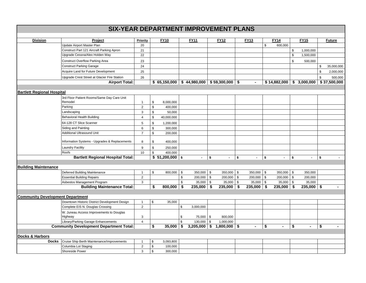|                                         | <b>SIX-YEAR DEPARTMENT IMPROVEMENT PLANS</b>   |                           |              |                  |              |                                                                 |              |                             |                |                           |                             |               |                             |                |               |
|-----------------------------------------|------------------------------------------------|---------------------------|--------------|------------------|--------------|-----------------------------------------------------------------|--------------|-----------------------------|----------------|---------------------------|-----------------------------|---------------|-----------------------------|----------------|---------------|
|                                         |                                                |                           |              |                  |              |                                                                 |              |                             |                |                           |                             |               |                             |                |               |
| <b>Division</b>                         | Project                                        | Priority                  |              | <b>FY10</b>      |              | <b>FY11</b>                                                     |              | <b>FY12</b>                 | <b>FY13</b>    |                           | <b>FY14</b>                 |               | <b>FY15</b>                 |                | <b>Future</b> |
|                                         | Update Airport Master Plan                     | 20                        |              |                  |              |                                                                 |              |                             |                | \$                        | 600,000                     |               |                             |                |               |
|                                         | Construct Part 121 Aircraft Parking Apron      | 21                        |              |                  |              |                                                                 |              |                             |                |                           |                             | \$            | 1,000,000                   |                |               |
|                                         | Upgrade Cessna/Alex Holden Way                 | 22                        |              |                  |              |                                                                 |              |                             |                |                           |                             | \$            | 1,500,000                   |                |               |
|                                         | <b>Construct Overflow Parking Area</b>         | 23                        |              |                  |              |                                                                 |              |                             |                |                           |                             | \$            | 500,000                     |                |               |
|                                         | <b>Construct Parking Garage</b>                | 24                        |              |                  |              |                                                                 |              |                             |                |                           |                             |               |                             | \$             | 35,000,000    |
|                                         | Acquire Land for Future Development            | 25                        |              |                  |              |                                                                 |              |                             |                |                           |                             |               |                             | \$             | 2,000,000     |
|                                         | Upgrade Crest Street at Glacier Fire Station   | 26                        |              |                  |              |                                                                 |              |                             |                |                           |                             |               |                             | $\mathfrak{S}$ | 500,000       |
|                                         | <b>Airport Total:</b>                          |                           |              |                  |              | $$65,150,000 \;   \; $44,980,000 \;   \; $59,300,000 \;   \; $$ |              |                             | $\blacksquare$ |                           |                             |               | $$14,882,000$ $$3,000,000$  |                | \$37,500,000  |
|                                         |                                                |                           |              |                  |              |                                                                 |              |                             |                |                           |                             |               |                             |                |               |
| <b>Bartlett Regional Hospital</b>       |                                                |                           |              |                  |              |                                                                 |              |                             |                |                           |                             |               |                             |                |               |
|                                         | 3rd Floor Patient Rooms/Same Day Care Unit     |                           |              |                  |              |                                                                 |              |                             |                |                           |                             |               |                             |                |               |
|                                         | Remodel                                        | $\mathbf{1}$              | \$           | 8,000,000        |              |                                                                 |              |                             |                |                           |                             |               |                             |                |               |
|                                         | Parking                                        | 2                         | \$           | 400,000          |              |                                                                 |              |                             |                |                           |                             |               |                             |                |               |
|                                         | Landscaping                                    | 3                         | \$           | 50,000           |              |                                                                 |              |                             |                |                           |                             |               |                             |                |               |
|                                         | <b>Behavioral Health Building</b>              | 4                         | $\mathbb{S}$ | 40,000,000       |              |                                                                 |              |                             |                |                           |                             |               |                             |                |               |
|                                         | 64-128 CT Slice Scanner                        | 5                         | \$           | 1,200,000        |              |                                                                 |              |                             |                |                           |                             |               |                             |                |               |
|                                         | Siding and Painting                            | 6                         | \$           | 300,000          |              |                                                                 |              |                             |                |                           |                             |               |                             |                |               |
|                                         | <b>Additional Ultrasound Unit</b>              | $\overline{7}$            | \$           | 200,000          |              |                                                                 |              |                             |                |                           |                             |               |                             |                |               |
|                                         | Information Systems - Upgrades & Replacements  | 8                         | \$           | 400,000          |              |                                                                 |              |                             |                |                           |                             |               |                             |                |               |
|                                         | <b>Laundry Facility</b>                        | 9                         | \$           | 250,000          |              |                                                                 |              |                             |                |                           |                             |               |                             |                |               |
|                                         | Roofs                                          | 10                        | \$           | 400,000          |              |                                                                 |              |                             |                |                           |                             |               |                             |                |               |
|                                         | <b>Bartlett Regional Hospital Total:</b>       |                           |              | $$51,200,000$ \$ |              | $\mathcal{L}^{\pm}$                                             | $\mathbf{s}$ | $\mathcal{L}^{\mathcal{A}}$ | \$<br>$\sim$   | \$                        | $\mathcal{L}^{\mathcal{A}}$ | s.            | $\mathcal{L}^{\mathcal{L}}$ | \$             | $\sim$        |
|                                         |                                                |                           |              |                  |              |                                                                 |              |                             |                |                           |                             |               |                             |                |               |
| <b>Building Maintenance</b>             |                                                |                           |              |                  |              |                                                                 |              |                             |                |                           |                             |               |                             |                |               |
|                                         | Deferred Building Maintenance                  | $\mathbf{1}$              | \$           | 800,000          | \$           | 350,000                                                         | $\mathbb{S}$ | $350,000$ \$                | 350,000        | $\boldsymbol{\mathsf{S}}$ | 350,000                     | $\sqrt[6]{2}$ | 350,000                     |                |               |
|                                         | <b>Essential Building Repairs</b>              | $\overline{2}$            |              |                  | \$           | $200,000$ \$                                                    |              | $200,000$ \$                | $200,000$ \$   |                           | $200,000$ \$                |               | 200,000                     |                |               |
|                                         | Asbestos Management Program                    | 3                         |              |                  | \$           | $35,000$ \$                                                     |              | $35,000$ \$                 | $35,000$ \$    |                           | $35,000$ \$                 |               | 35,000                      |                |               |
|                                         | <b>Building Maintenance Total:</b>             |                           | \$           | 800,000          | -\$          | 235,000                                                         | -\$          | $235,000$ \$                | 235,000        | -\$                       | $235,000$ \$                |               | $235,000$ \$                |                |               |
|                                         |                                                |                           |              |                  |              |                                                                 |              |                             |                |                           |                             |               |                             |                |               |
| <b>Community Development Department</b> |                                                |                           |              |                  |              |                                                                 |              |                             |                |                           |                             |               |                             |                |               |
|                                         | Downtown Historic District Development Design  | $\mathbf{1}$              | \$           | 35,000           |              |                                                                 |              |                             |                |                           |                             |               |                             |                |               |
|                                         | Complete EIS N. Douglas Crossing               | $\overline{2}$            |              |                  | \$           | 3,000,000                                                       |              |                             |                |                           |                             |               |                             |                |               |
|                                         | W. Juneau Access Improvements to Douglas       |                           |              |                  |              |                                                                 |              |                             |                |                           |                             |               |                             |                |               |
|                                         | Highway                                        | $\ensuremath{\mathsf{3}}$ |              |                  | \$           | 75,000                                                          | \$           | 800,000                     |                |                           |                             |               |                             |                |               |
|                                         | Library/Parking Garage Enhancements            | $\overline{4}$            |              |                  | $\mathbb{S}$ | 130,000                                                         | \$           | 1,000,000                   |                |                           |                             |               |                             |                |               |
|                                         | <b>Community Development Department Total:</b> |                           | \$           | 35,000           | \$           | 3,205,000                                                       | \$           | $1,800,000$ \$              | $\blacksquare$ | \$                        | $\blacksquare$              | \$            | $\blacksquare$              | \$             |               |
|                                         |                                                |                           |              |                  |              |                                                                 |              |                             |                |                           |                             |               |                             |                |               |
| <b>Docks &amp; Harbors</b>              |                                                |                           |              |                  |              |                                                                 |              |                             |                |                           |                             |               |                             |                |               |
| <b>Docks</b>                            | Cruise Ship Berth Maintenance/Improvements     | $\mathbf{1}$              | \$           | 3,093,800        |              |                                                                 |              |                             |                |                           |                             |               |                             |                |               |
|                                         | Columbia Lot Staging                           | $\overline{2}$            | \$           | 100,000          |              |                                                                 |              |                             |                |                           |                             |               |                             |                |               |
|                                         | Shoreside Power                                | 3                         | \$           | 300,000          |              |                                                                 |              |                             |                |                           |                             |               |                             |                |               |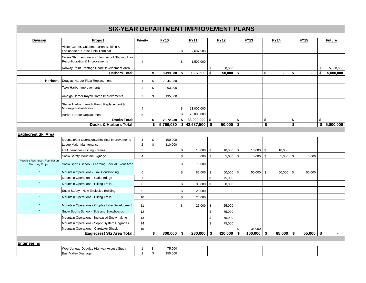| <b>Division</b>                                         | Project                                                                        | Priority                |               | <b>FY10</b>    |      | <b>FY11</b>                 |              | <b>FY12</b>    |            | <b>FY13</b>    |                                      | <b>FY14</b>    |                      | <b>FY15</b>    | <b>Future</b>   |
|---------------------------------------------------------|--------------------------------------------------------------------------------|-------------------------|---------------|----------------|------|-----------------------------|--------------|----------------|------------|----------------|--------------------------------------|----------------|----------------------|----------------|-----------------|
|                                                         | Visitor Center, Customers/Port Building &<br>Esplanade at Cruise Ship Terminal | 3                       |               |                | \$   | 9,687,500                   |              |                |            |                |                                      |                |                      |                |                 |
|                                                         | Cruise Ship Terminal & Columbia Lot Staging Area                               |                         |               |                |      |                             |              |                |            |                |                                      |                |                      |                |                 |
|                                                         | Reconfiguration & Improvements                                                 | $\overline{4}$          |               |                | \$   | 1,500,000                   |              |                |            |                |                                      |                |                      |                |                 |
|                                                         | Norway Point Frontage Road/Development Area                                    | 5                       |               |                |      |                             | \$           | 50,000         |            |                |                                      |                |                      |                | \$<br>5,000,000 |
|                                                         | <b>Harbors Total:</b>                                                          |                         | \$            | $3,493,800$ \$ |      | 9,687,500                   | \$           | 50,000         | $\sqrt{2}$ | $\blacksquare$ | \$                                   | $\blacksquare$ | \$                   | $\blacksquare$ | \$<br>5,000,000 |
| <b>Harbors</b>                                          | Douglas Harbor Float Replacement                                               | $\mathbf{1}$            | \$            | 2,044,230      |      |                             |              |                |            |                |                                      |                |                      |                |                 |
|                                                         | Taku Harbor Improvements                                                       | $\overline{\mathbf{c}}$ | \$            | 93,000         |      |                             |              |                |            |                |                                      |                |                      |                |                 |
|                                                         | Amalga Harbor Kayak Ramp Improvements                                          | 3                       | \$            | 135,000        |      |                             |              |                |            |                |                                      |                |                      |                |                 |
|                                                         | Statter Harbor Launch Ramp Replacement &                                       |                         |               |                |      |                             |              |                |            |                |                                      |                |                      |                |                 |
|                                                         | Moorage Rehabilitation                                                         | $\overline{4}$          |               |                | \$   | 13,000,000                  |              |                |            |                |                                      |                |                      |                |                 |
|                                                         | Aurora Harbor Replacement                                                      | 5                       |               |                | \$   | 20,000,000                  |              |                |            |                |                                      |                |                      |                |                 |
|                                                         | <b>Docks Total:</b>                                                            |                         | \$            | 2,272,230      | \$   | $33,000,000$ \$             |              | $\blacksquare$ | \$         | $\blacksquare$ | \$                                   |                | \$                   | $\sim$         | \$              |
|                                                         | <b>Docks &amp; Harbors Total:</b>                                              |                         | \$            |                |      | $5,766,030$ \$42,687,500 \$ |              | $50,000$ \$    |            | $\blacksquare$ | $\overline{\boldsymbol{\mathsf{s}}}$ | $\blacksquare$ | $\overline{\bullet}$ |                | \$<br>5,000,000 |
| Eaglecrest Ski Area                                     |                                                                                |                         |               |                |      |                             |              |                |            |                |                                      |                |                      |                |                 |
|                                                         | Mountain/Lift Operations/Electrical Improvements                               | $\overline{1}$          | \$            | 190,000        |      |                             |              |                |            |                |                                      |                |                      |                |                 |
|                                                         | Lodge Major Maintenance                                                        | $\overline{2}$          | \$            | 110,000        |      |                             |              |                |            |                |                                      |                |                      |                |                 |
|                                                         | Lift Operations - Lifting Frames                                               | 3                       |               |                | $\,$ | 10,000                      | $\mathbb{S}$ | 10,000         | \$         | 10,000         | $\mathbb{S}$                         | 10,000         |                      |                |                 |
|                                                         | Snow Safety Mountain Signage                                                   | $\overline{\mathbf{4}}$ |               |                | \$   | $5,000$ \$                  |              | 5,000          | $\vert$ \$ | $5,000$ \$     |                                      | $5,000$ \$     |                      | 5,000          |                 |
| Possible Rasmuson Foundation<br><b>Matching Project</b> | Snow Sports School - Learning/Special Event Area                               | 5                       |               |                | \$   | 75,000                      |              |                |            |                |                                      |                |                      |                |                 |
|                                                         | Mountain Operations - Trail Conditioning                                       | 6                       |               |                | \$   | 85,000                      | \$           | 50,000         | - \$       | 50,000         | \$                                   | 50,000         | \$                   | 50,000         |                 |
|                                                         | Mountain Operations - Carl's Bridge                                            | $\overline{7}$          |               |                |      |                             | \$           | 75,000         |            |                |                                      |                |                      |                |                 |
| $\mathbf{u}$                                            | Mountain Operations - Hiking Trails                                            | 8                       |               |                | \$   | 30,000                      | \$           | 30,000         |            |                |                                      |                |                      |                |                 |
|                                                         | Snow Safety - New Explosive Building                                           | 9                       |               |                | \$   | 25,000                      |              |                |            |                |                                      |                |                      |                |                 |
|                                                         | <b>Mountain Operations - Hiking Trails</b>                                     | 10                      |               |                | \$   | 25,000                      |              |                |            |                |                                      |                |                      |                |                 |
|                                                         | Mountain Operations - Cropley Lake Development                                 | 11                      |               |                | \$   | 25,000                      | \$           | 25,000         |            |                |                                      |                |                      |                |                 |
|                                                         | Snow Sports School - Skis and Snowboards                                       | 12                      |               |                |      |                             | \$           | 75,000         |            |                |                                      |                |                      |                |                 |
|                                                         | Mountain Operations - Increased Snowmaking                                     | 13                      |               |                |      |                             | \$           | 75,000         |            |                |                                      |                |                      |                |                 |
|                                                         | Mountain Operations - Septic System Upgrades                                   | 14                      |               |                |      |                             | \$           | 75,000         |            |                |                                      |                |                      |                |                 |
|                                                         | Mountain Operations - Caretaker Shack                                          | 15                      |               |                |      |                             |              |                | \$         | 35,000         |                                      |                |                      |                |                 |
|                                                         | Eaglecrest Ski Area Total:                                                     |                         | \$            | $300,000$ \$   |      | $280,000$ \$                |              | 420,000        | $\sqrt{5}$ | $100,000$ \$   |                                      | 65,000         | $\vert$ \$           | $55,000$ \$    |                 |
| Engineering                                             |                                                                                |                         |               |                |      |                             |              |                |            |                |                                      |                |                      |                |                 |
|                                                         | West Juneau-Douglas Highway Access Study                                       | $\overline{1}$          | \$            | 75,000         |      |                             |              |                |            |                |                                      |                |                      |                |                 |
|                                                         | East Valley Drainage                                                           | $\overline{2}$          | $\mathfrak s$ | 150,000        |      |                             |              |                |            |                |                                      |                |                      |                |                 |
|                                                         |                                                                                |                         |               |                |      |                             |              |                |            |                |                                      |                |                      |                |                 |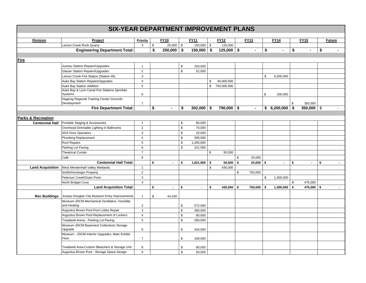| <b>Division</b>               | Project                                        | Priority                |               | <b>FY10</b>    |             | <b>FY11</b>    | <b>FY12</b>       | <b>FY13</b>    | <b>FY14</b>          | <b>FY15</b>          | <b>Future</b> |
|-------------------------------|------------------------------------------------|-------------------------|---------------|----------------|-------------|----------------|-------------------|----------------|----------------------|----------------------|---------------|
|                               | Lemon Creek Rock Quarry                        | 3                       | $\mathfrak s$ | $25,000$ \$    |             | $150,000$ \$   | 125,000           |                |                      |                      |               |
|                               | <b>Engineering Department Total:</b>           |                         | \$            | $250,000$ \$   |             | $150,000$ \$   | $125,000$ \$      | $\blacksquare$ | \$<br>$\blacksquare$ | \$<br>$\blacksquare$ | \$            |
|                               |                                                |                         |               |                |             |                |                   |                |                      |                      |               |
| Fire                          |                                                |                         |               |                |             |                |                   |                |                      |                      |               |
|                               | Juneau Station Repairs/Upgrades                | $\mathbf{1}$            |               |                | \$          | 250,000        |                   |                |                      |                      |               |
|                               | <b>Glacier Station Repairs/Upgrades</b>        | $\overline{2}$          |               |                | $\mathbb S$ | 52,000         |                   |                |                      |                      |               |
|                               | Lemon Creek Fire Station (Station #6)          | 3                       |               |                |             |                |                   |                | \$<br>6,000,000      |                      |               |
|                               | Auke Bay Station Repairs/Upgrades              | $\overline{4}$          |               |                |             |                | \$<br>40,000.000  |                |                      |                      |               |
|                               | Auke Bay Station Addition                      | 5                       |               |                |             |                | \$<br>750,000.000 |                |                      |                      |               |
|                               | Auke Bay & Lynn Canal Fire Stations Sprinkler  |                         |               |                |             |                |                   |                |                      |                      |               |
|                               | Systems                                        | 6                       |               |                |             |                |                   |                | \$<br>200,000        |                      |               |
|                               | Hagevig Regional Training Center Grounds       |                         |               |                |             |                |                   |                |                      |                      |               |
|                               | Development                                    | $\overline{7}$          |               |                |             |                |                   |                |                      | \$<br>350,000        |               |
|                               | <b>Fire Department Total:</b>                  |                         | \$            | $\blacksquare$ | \$          | $302,000$ \$   | 790,000 \$        | $\blacksquare$ | $$6,200,000$ \$      | $350,000$ \$         |               |
|                               |                                                |                         |               |                |             |                |                   |                |                      |                      |               |
| <b>Parks &amp; Recreation</b> |                                                |                         |               |                |             |                |                   |                |                      |                      |               |
| <b>Centennial Hall</b>        | Portable Staging & Accessories                 | $\mathbf{1}$            |               |                | \$          | 80,000         |                   |                |                      |                      |               |
|                               | Overhead Dimmable Lighting in Ballrooms        | $\overline{2}$          |               |                | $\mathbb S$ | 70,000         |                   |                |                      |                      |               |
|                               | <b>ADA Door Operators</b>                      | $\sqrt{3}$              |               |                | \$          | 20,000         |                   |                |                      |                      |               |
|                               | <b>Plumbing Replacement</b>                    | $\overline{4}$          |               |                | \$          | 300,000        |                   |                |                      |                      |               |
|                               | Roof Repairs                                   | 5                       |               |                | \$          | 1,200,000      |                   |                |                      |                      |               |
|                               | Parking Lot Paving                             | 6                       |               |                | $\mathbb S$ | 151,000        |                   |                |                      |                      |               |
|                               | <b>Theatrical Curtain</b>                      | $\overline{7}$          |               |                |             |                | \$<br>50,000      |                |                      |                      |               |
|                               | Café                                           | 8                       |               |                |             |                |                   | \$<br>20,000   |                      |                      |               |
|                               | <b>Centennial Hall Total:</b>                  |                         | \$            | $\blacksquare$ | \$          | 1,821,000      | \$<br>$50,000$ \$ | $20,000$ \$    | $\sim$               | \$<br>$\blacksquare$ | \$<br>$\sim$  |
| <b>Land Acquisition</b>       | West Mendenhall Valley Wetlands                | $\mathbf{1}$            |               |                |             |                | \$<br>430,000     |                |                      |                      |               |
|                               | Smith/Honsinger Property                       | $\overline{2}$          |               |                |             |                |                   | \$<br>750,000  |                      |                      |               |
|                               | Peterson Creek/Outer Point                     | 3                       |               |                |             |                |                   |                | \$<br>1,300,000      |                      |               |
|                               | North Bridget Cove                             | $\overline{\mathbf{4}}$ |               |                |             |                |                   |                |                      | \$<br>475,000        |               |
|                               | <b>Land Acquisition Total:</b>                 |                         | \$            |                | \$          | $\blacksquare$ | \$<br>430,000 \$  | 750,000        | \$<br>$1,300,000$ \$ | 475,000 \$           |               |
|                               |                                                |                         |               |                |             |                |                   |                |                      |                      |               |
| <b>Rec Buildings</b>          | Juneau Douglas City Museum Entry Improvements  | $\mathbf{1}$            | \$            | 44,200         |             |                |                   |                |                      |                      |               |
|                               | Museum-JDCM Mechanical Ventilation, Humidity   |                         |               |                |             |                |                   |                |                      |                      |               |
|                               | and Heating                                    | $\overline{2}$          |               |                | \$          | 572,000        |                   |                |                      |                      |               |
|                               | Augustus Brown Pool-Pool Lobby Repair          | 3                       |               |                | $\mathbb S$ | 260,000        |                   |                |                      |                      |               |
|                               | Augustus Brown Pool-Replacement of Lockers     | $\overline{4}$          |               |                | \$          | 80,000         |                   |                |                      |                      |               |
|                               | Treadwell Arena - Parking Lot Paving           | 5                       |               |                | \$          | 260,000        |                   |                |                      |                      |               |
|                               | Museum-JDCM Basement Collections Storage       |                         |               |                |             |                |                   |                |                      |                      |               |
|                               | Upgrade                                        | 6                       |               |                | \$          | 334,000        |                   |                |                      |                      |               |
|                               | Museum - JDCM-Interior Upgrades, Main Exhibit  |                         |               |                |             |                |                   |                |                      |                      |               |
|                               | Floor                                          | $\boldsymbol{7}$        |               |                | \$          | 100,000        |                   |                |                      |                      |               |
|                               | Treadwell Area-Custom Bleachers & Storage Unit | 8                       |               |                | \$          | 80,000         |                   |                |                      |                      |               |
|                               | Augustus Brown Pool - Storage Space Design     | 9                       |               |                | $\mathbb S$ | 50,000         |                   |                |                      |                      |               |
|                               |                                                |                         |               |                |             |                |                   |                |                      |                      |               |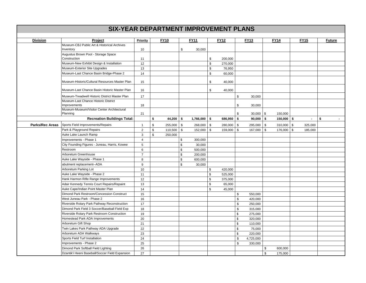| <b>Division</b>        | Project                                              | Priority       |               | <b>FY10</b>  |               | <b>FY11</b>  | <b>FY12</b>   |                | <b>FY13</b> |             | <b>FY14</b>  | <b>FY15</b>    | <b>Future</b> |
|------------------------|------------------------------------------------------|----------------|---------------|--------------|---------------|--------------|---------------|----------------|-------------|-------------|--------------|----------------|---------------|
|                        | Museum-CBJ Public Art & Historical Archives          |                |               |              |               |              |               |                |             |             |              |                |               |
|                        | Inventory                                            | 10             |               |              | \$            | 30,000       |               |                |             |             |              |                |               |
|                        | Augustus Brown Pool - Storage Space<br>Construction  |                |               |              |               |              |               |                |             |             |              |                |               |
|                        |                                                      | 11             |               |              |               |              | \$<br>200,000 |                |             |             |              |                |               |
|                        | Museum-New Exhibit Design & Installation             | 12             |               |              |               |              | \$<br>270,000 |                |             |             |              |                |               |
|                        | Museum-Exterior Site Upgrades                        | 13             |               |              |               |              | \$<br>76,950  |                |             |             |              |                |               |
|                        | Museum-Last Chance Basin Bridge-Phase 2              | 14             |               |              |               |              | \$<br>60,000  |                |             |             |              |                |               |
|                        | Museum-Historic/Cultural Resources Master Plan       | 15             |               |              |               |              | \$<br>40,000  |                |             |             |              |                |               |
|                        | Museum-Last Chance Basin Historic Master Plan        | 16             |               |              |               |              | \$<br>40,000  |                |             |             |              |                |               |
|                        | Museum-Treadwell Historic District Master Plan       | 17             |               |              |               |              |               | \$             | 30,000      |             |              |                |               |
|                        | Museum-Last Chance Historic District<br>Improvements | 18             |               |              |               |              |               | \$             | 30,000      |             |              |                |               |
|                        | Museum-Museum/Visitor Center Architectural           |                |               |              |               |              |               |                |             |             |              |                |               |
|                        | Planning                                             | 21             |               |              |               |              |               | \$             | $30,000$ \$ |             | 150,000      |                |               |
|                        | <b>Recreation Buildings Total:</b>                   |                | \$            | $44,200$ \$  |               | 1,766,000 \$ | 686,950 \$    |                | $90,000$ \$ |             | $150,000$ \$ | $\blacksquare$ | $\mathbf{s}$  |
| <b>Parks/Rec Areas</b> | Sports Field Improvements/Repairs                    | $\mathbf{1}$   | \$            | 255,000 \$   |               | 268,000 \$   | 280,000 \$    |                | 295,000 \$  |             | $310,000$ \$ | 325,000        |               |
|                        | Park & Playground Repairs                            | $\overline{2}$ | $\mathfrak s$ | $110,500$ \$ |               | $152,000$ \$ | 159,000 \$    |                | 167,000 \$  |             | 176,000 \$   | 185,000        |               |
|                        | Auke Lake Launch Ramp                                | 3              | $\mathbb{S}$  | 250,000      |               |              |               |                |             |             |              |                |               |
|                        | Improvements - Phase 1                               | $\overline{4}$ |               |              | \$            | 300,000      |               |                |             |             |              |                |               |
|                        | City Founding Figures - Juneau, Harris, Kowee        | 5              |               |              | $\mathfrak s$ | 30,000       |               |                |             |             |              |                |               |
|                        | Restroom                                             | 6              |               |              | $\mathfrak s$ | 500,000      |               |                |             |             |              |                |               |
|                        | Arboretum Greenhouse                                 | $\overline{7}$ |               |              | $\mathbb{S}$  | 200,000      |               |                |             |             |              |                |               |
|                        | Auke Lake Wayside - Phase 1                          | 8              |               |              | \$            | 600,000      |               |                |             |             |              |                |               |
|                        | abutment replacement--ADA                            | 9              |               |              | $\mathfrak s$ | 30,000       |               |                |             |             |              |                |               |
|                        | Arboretum Parking Lot                                | 10             |               |              |               |              | \$<br>420,000 |                |             |             |              |                |               |
|                        | Auke Lake Wayside - Phase 2                          | 11             |               |              |               |              | \$<br>525,000 |                |             |             |              |                |               |
|                        | Hank Harmon Rifle Range Improvements                 | 12             |               |              |               |              | \$<br>375,000 |                |             |             |              |                |               |
|                        | Adair Kennedy Tennis Court Repairs/Repaint           | 13             |               |              |               |              | \$<br>65,000  |                |             |             |              |                |               |
|                        | Auke Cape/Indian Point Master Plan                   | 14             |               |              |               |              | \$<br>45,000  |                |             |             |              |                |               |
|                        | Dimond Park Restroom/Concession Construct            | 15             |               |              |               |              |               | \$             | 550,000     |             |              |                |               |
|                        | West Juneau Park - Phase 2                           | 16             |               |              |               |              |               | \$             | 420,000     |             |              |                |               |
|                        | Riverside Rotary Park Pathway Reconstruction         | 17             |               |              |               |              |               | \$             | 250,000     |             |              |                |               |
|                        | Dimond Park Field 3 Soccer/Baseball Field Exp        | 18             |               |              |               |              |               | \$             | 315,000     |             |              |                |               |
|                        | Riverside Rotary Park Restroom Construction          | 19             |               |              |               |              |               | \$             | 275,000     |             |              |                |               |
|                        | Homestead Park ADA Improvements                      | 20             |               |              |               |              |               | \$             | 320,000     |             |              |                |               |
|                        | Arboretum Gift Shop                                  | 21             |               |              |               |              |               | $$\mathbb{S}$$ | 110,000     |             |              |                |               |
|                        | Twin Lakes Park Pathway ADA Upgrade                  | 22             |               |              |               |              |               | $\mathfrak s$  | 75,000      |             |              |                |               |
|                        | Arboretum ADA Walkways                               | 23             |               |              |               |              |               | $\,$           | 220,000     |             |              |                |               |
|                        | Sports Field Turf Installation                       | 24             |               |              |               |              |               | $\,$           | 4,725,000   |             |              |                |               |
|                        | Improvements - Phase 2                               | 25             |               |              |               |              |               | \$             | 330,000     |             |              |                |               |
|                        | Dimond Park Softball Field Lighting                  | 26             |               |              |               |              |               |                |             | \$          | 600,000      |                |               |
|                        | Dzantik'i Heeni Baseball/Soccer Field Expansion      | 27             |               |              |               |              |               |                |             | $\mathbb S$ | 175,000      |                |               |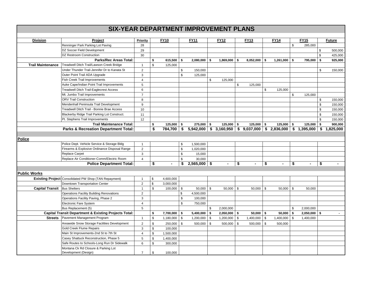| <b>Division</b>                     | Project                                                          | Priority       |             | <b>FY10</b>    |             | <b>FY11</b>    | <b>FY12</b>     |          | <b>FY13</b>    |    | <b>FY14</b>                                                     |      | <b>FY15</b>    | <b>Future</b>   |
|-------------------------------------|------------------------------------------------------------------|----------------|-------------|----------------|-------------|----------------|-----------------|----------|----------------|----|-----------------------------------------------------------------|------|----------------|-----------------|
|                                     | Renninger Park Parking Lot Paving                                | 28             |             |                |             |                |                 |          |                |    |                                                                 | \$   | 285,000        |                 |
|                                     | DZ Soccer Field Development                                      | 29             |             |                |             |                |                 |          |                |    |                                                                 |      |                | \$<br>500,000   |
|                                     | DZ Restroom Construction                                         | 30             |             |                |             |                |                 |          |                |    |                                                                 |      |                | \$<br>425,000   |
|                                     | <b>Parks/Rec Areas Total:</b>                                    |                | \$          | $615,500$ \$   |             | $2,080,000$ \$ | 1,869,000       | <b>S</b> | 8,052,000      | -S | 1,261,000                                                       | - \$ | 795,000 \$     | 925,000         |
| <b>Trail Maintenance</b>            | Treadwell Ditch Trail/Lawson Creek Bridge                        | $\mathbf{1}$   | \$          | 125,000        |             |                |                 |          |                |    |                                                                 |      |                |                 |
|                                     | Under Thunder Trail-Jennifer Dr to Kanata St                     | $\overline{2}$ |             |                | \$          | 150,000        |                 |          |                |    |                                                                 |      |                | \$<br>150,000   |
|                                     | Outer Point Trail ADA Upgrade                                    | 3              |             |                | \$          | 125,000        |                 |          |                |    |                                                                 |      |                |                 |
|                                     | <b>Fish Creek Trail Improvements</b>                             | $\overline{4}$ |             |                |             |                | \$<br>125,000   |          |                |    |                                                                 |      |                |                 |
|                                     | Auke Cape/Indian Point Trail Improvements                        | 5              |             |                |             |                |                 | \$       | 125,000        |    |                                                                 |      |                |                 |
|                                     | <b>Treadwell Ditch Trail-Eaglecrest Access</b>                   | 6              |             |                |             |                |                 |          |                | \$ | 125,000                                                         |      |                |                 |
|                                     | Mt. Jumbo Trail Improvements                                     | $\overline{7}$ |             |                |             |                |                 |          |                |    |                                                                 | \$   | 125,000        |                 |
|                                     | <b>ORV Trail Construction</b>                                    | 8              |             |                |             |                |                 |          |                |    |                                                                 |      |                | \$<br>150,000   |
|                                     | Mendenhall Peninsula Trail Development                           | 9              |             |                |             |                |                 |          |                |    |                                                                 |      |                | \$<br>150,000   |
|                                     | Treadwell Ditch Trail - Bonnie Brae Access                       | 10             |             |                |             |                |                 |          |                |    |                                                                 |      |                | \$<br>150,000   |
|                                     | Blackerby Ridge Trail Parking Lot Construct.                     | 11             |             |                |             |                |                 |          |                |    |                                                                 |      |                | \$<br>150,000   |
|                                     | Pt. Stephens Trail Improvements                                  | 12             |             |                |             |                |                 |          |                |    |                                                                 |      |                | \$<br>150,000   |
|                                     | <b>Trail Maintenance Total:</b>                                  |                | \$          | $125,000$ \$   |             | 275,000 \$     | 125,000         | \$       | $125,000$ \$   |    | 125,000                                                         | \$   | $125,000$ \$   | 900,000         |
|                                     | Parks & Recreation Department Total:                             |                | \$          | 784,700 \$     |             |                |                 |          |                |    | $5,942,000$ \$ 3,160,950 \$ 9,037,000 \$ 2,836,000 \$ 1,395,000 |      |                | \$<br>1,825,000 |
|                                     |                                                                  |                |             |                |             |                |                 |          |                |    |                                                                 |      |                |                 |
| <b>Police</b>                       |                                                                  |                |             |                |             |                |                 |          |                |    |                                                                 |      |                |                 |
|                                     | Police Dept. Vehicle Service & Storage Bldg                      | $\mathbf{1}$   |             |                | \$          | 1,500,000      |                 |          |                |    |                                                                 |      |                |                 |
|                                     | Firearms & Explosive Ordinance Disposal Range                    | $\overline{2}$ |             |                | \$          | 1,020,000      |                 |          |                |    |                                                                 |      |                |                 |
|                                     | <b>Replace Carpet</b>                                            | 3              |             |                | \$          | 15,000         |                 |          |                |    |                                                                 |      |                |                 |
|                                     | Replace Air Conditioner-Comm/Electric Room                       | $\overline{4}$ |             |                | $\mathbb S$ | 30,000         |                 |          |                |    |                                                                 |      |                |                 |
|                                     | <b>Police Department Total:</b>                                  |                | \$          | $\blacksquare$ | \$          | $2,565,000$ \$ |                 | \$       | $\blacksquare$ | \$ |                                                                 | \$   |                | \$              |
|                                     |                                                                  |                |             |                |             |                |                 |          |                |    |                                                                 |      |                |                 |
| <b>Public Works</b>                 |                                                                  |                |             |                |             |                |                 |          |                |    |                                                                 |      |                |                 |
|                                     | Existing Project Consolidated PW Shop (TAN Repayment)            | $\mathbf{1}$   | \$          | 4,600,000      |             |                |                 |          |                |    |                                                                 |      |                |                 |
|                                     | Downtown Transportation Center                                   | $\overline{2}$ | $\mathbb S$ | 3,000,000      |             |                |                 |          |                |    |                                                                 |      |                |                 |
| <b>Capital Transit</b> Bus Shelters |                                                                  | 1              | \$          | 100,000        | - \$        | $50,000$ \$    | 50,000          | - \$     | $50,000$ \$    |    | 50,000                                                          | \$   | 50,000         |                 |
|                                     | <b>Operations Facility Building Renovations</b>                  | $\overline{2}$ |             |                | \$          | 4,500,000      |                 |          |                |    |                                                                 |      |                |                 |
|                                     | Operations Facility Paving, Phase 2                              | $\mathbf{3}$   |             |                | $\mathbb S$ | 100,000        |                 |          |                |    |                                                                 |      |                |                 |
|                                     | Electronic Fare System                                           | $\overline{4}$ |             |                | \$          | 750,000        |                 |          |                |    |                                                                 |      |                |                 |
|                                     | Bus Replacement (5)                                              | 5              |             |                |             |                | \$<br>2,000,000 |          |                |    |                                                                 | \$   | 2,000,000      |                 |
|                                     | <b>Capital Transit Department &amp; Existing Projects Total:</b> |                | \$          | 7,700,000      | \$          | 5,400,000      | \$<br>2,050,000 | -\$      | $50,000$ \$    |    | 50,000                                                          | \$   | $2,050,000$ \$ | $\blacksquare$  |
| <b>Streets</b>                      | Pavement Management Program                                      | $\mathbf{1}$   | \$          | 1,180,000      | \$          | 1,200,000      | \$<br>1,200,000 | <b>S</b> | $1,400,000$ \$ |    | 1,400,000                                                       | \$   | 1,400,000      |                 |
|                                     | Areawide Snow Storage Facilities Development                     | $\overline{2}$ | \$          | 250,000        | <b>S</b>    | 500,000        | \$<br>500,000   | \$       | 500,000        | \$ | 500,000                                                         |      |                |                 |
|                                     | <b>Gold Creek Flume Repairs</b>                                  | 3              | \$          | 100,000        |             |                |                 |          |                |    |                                                                 |      |                |                 |
|                                     | Main St Improvements-2nd St to 7th St                            | 4              | \$          | 1,500,000      |             |                |                 |          |                |    |                                                                 |      |                |                 |
|                                     | Casey Shattuck Reconstruction, Phase 5                           | 5              | \$          | 1,400,000      |             |                |                 |          |                |    |                                                                 |      |                |                 |
|                                     | Safe Routes to Schools-Long Run Dr Sidewalk                      | 6              | \$          | 300,000        |             |                |                 |          |                |    |                                                                 |      |                |                 |
|                                     | Montana Ck Rd Closure & Parking Lot                              |                |             |                |             |                |                 |          |                |    |                                                                 |      |                |                 |
|                                     | Development (Design)                                             | $\overline{7}$ | \$          | 100,000        |             |                |                 |          |                |    |                                                                 |      |                |                 |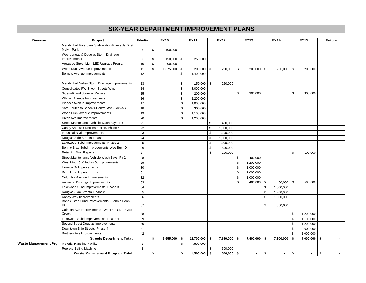| <b>Division</b>             | Project                                                                  | Priority     | <b>FY10</b>          |               | <b>FY11</b>     | <b>FY12</b>     | <b>FY13</b>      | <b>FY14</b>          | <b>FY15</b>          | <b>Future</b>        |
|-----------------------------|--------------------------------------------------------------------------|--------------|----------------------|---------------|-----------------|-----------------|------------------|----------------------|----------------------|----------------------|
|                             | Mendenhall Riverbank Stabilization-Riverside Dr at<br><b>Melvin Park</b> | 8            | \$<br>100,000        |               |                 |                 |                  |                      |                      |                      |
|                             | West Juneau & Douglas Storm Drainage                                     |              |                      |               |                 |                 |                  |                      |                      |                      |
|                             | Improvements                                                             | 9            | \$<br>150,000 \$     |               | 250,000         |                 |                  |                      |                      |                      |
|                             | Areawide Street Light LED Upgrade Program                                | 10           | \$<br>200,000        |               |                 |                 |                  |                      |                      |                      |
|                             | Wood Duck Avenue Improvements                                            | 11           | \$<br>$1,375,000$ \$ |               | 200,000 \$      | 200,000 \$      | 200,000          | \$<br>200,000 \$     | 200,000              |                      |
|                             | Berners Avenue Improvements                                              | 12           |                      | \$            | 1,400,000       |                 |                  |                      |                      |                      |
|                             | Mendenhall Valley Storm Drainage Improvements                            | 13           |                      | \$            | 150,000 \$      | 250,000         |                  |                      |                      |                      |
|                             | Consolidated PW Shop - Streets Wing                                      | 14           |                      | $\mathfrak s$ | 3,000,000       |                 |                  |                      |                      |                      |
|                             | Sidewalk and Stairway Repairs                                            | 15           |                      | \$            | 200,000         |                 | \$<br>300,000    |                      | \$<br>300,000        |                      |
|                             | Whittier Avenue Improvements                                             | 16           |                      | $\mathfrak s$ | 1,200,000       |                 |                  |                      |                      |                      |
|                             | Pioneer Avenue Improvements                                              | 17           |                      | \$            | 1,000,000       |                 |                  |                      |                      |                      |
|                             | Safe Routes to Schools-Central Ave Sidewalk                              | 18           |                      | \$            | 300,000         |                 |                  |                      |                      |                      |
|                             | Wood Duck Avenue Improvements                                            | 19           |                      | \$            | 1,100,000       |                 |                  |                      |                      |                      |
|                             | Dixon Ave Improvements                                                   | 20           |                      | \$            | 1,200,000       |                 |                  |                      |                      |                      |
|                             | Street Maintenance Vehicle Wash Bays, Ph 1                               | 21           |                      |               |                 | \$<br>400,000   |                  |                      |                      |                      |
|                             | Casey Shattuck Reconstruction, Phase 6                                   | 22           |                      |               |                 | \$<br>1,000,000 |                  |                      |                      |                      |
|                             | Industrial Blvd. Improvements                                            | 23           |                      |               |                 | \$<br>1,200,000 |                  |                      |                      |                      |
|                             | Douglas Side Streets, Phase 1                                            | 24           |                      |               |                 | \$<br>1,000,000 |                  |                      |                      |                      |
|                             | Lakewood Subd Improvements, Phase 2                                      | 25           |                      |               |                 | \$<br>1,000,000 |                  |                      |                      |                      |
|                             | Bonnie Brae Subd Improvements-Wee Burn Dr                                | 26           |                      |               |                 | \$<br>800,000   |                  |                      |                      |                      |
|                             | <b>Retaining Wall Repairs</b>                                            | 27           |                      |               |                 | \$<br>100,000   |                  |                      | \$<br>100,000        |                      |
|                             | Street Maintenance Vehicle Wash Bays, Ph 2                               | 28           |                      |               |                 |                 | \$<br>400,000    |                      |                      |                      |
|                             | West Ninth St & Indian St Improvements                                   | 29           |                      |               |                 |                 | \$<br>1,200,000  |                      |                      |                      |
|                             | Horizon Dr Improvements                                                  | 30           |                      |               |                 |                 | \$<br>1,000,000  |                      |                      |                      |
|                             | <b>Birch Lane Improvements</b>                                           | 31           |                      |               |                 |                 | \$<br>1,000,000  |                      |                      |                      |
|                             | Columbia Avenue Improvements                                             | 32           |                      |               |                 |                 | \$<br>1,000,000  |                      |                      |                      |
|                             | Areawide Drainage Improvements                                           | 33           |                      |               |                 |                 | \$<br>400,000 \$ | $400,000$ \$         | 500,000              |                      |
|                             | Lakewood Subd Improvements, Phase 3                                      | 34           |                      |               |                 |                 |                  | \$<br>1,800,000      |                      |                      |
|                             | Douglas Side Streets, Phase 2                                            | 35           |                      |               |                 |                 |                  | \$<br>1,200,000      |                      |                      |
|                             | Abbey Way Improvements                                                   | 36           |                      |               |                 |                 |                  | \$<br>1,000,000      |                      |                      |
|                             | Bonnie Brae Subd Improvements - Bonnie Doon<br>Dr                        | 37           |                      |               |                 |                 |                  | \$<br>800,000        |                      |                      |
|                             | Calhoun Ave Improvements - West 8th St. to Gold<br>Creek                 | 38           |                      |               |                 |                 |                  |                      | \$<br>1,200,000      |                      |
|                             | Lakewood Subd Improvements, Phase 4                                      | 39           |                      |               |                 |                 |                  |                      | \$<br>1,100,000      |                      |
|                             | Second Street Douglas Improvements                                       | 40           |                      |               |                 |                 |                  |                      | \$<br>1,200,000      |                      |
|                             | Downtown Side Streets, Phase 4                                           | 41           |                      |               |                 |                 |                  |                      | \$<br>600,000        |                      |
|                             | <b>Brothers Ave Improvements</b>                                         | 42           |                      |               |                 |                 |                  |                      | \$<br>1,000,000      |                      |
|                             | <b>Streets Department Total:</b>                                         |              | \$<br>$6,655,000$ \$ |               | $11,700,000$ \$ | $7,650,000$ \$  | 7,400,000        | \$<br>7,300,000      | \$<br>7,600,000 \$   |                      |
| <b>Waste Management Prg</b> | <b>Material Handling Facility</b>                                        | $\mathbf{1}$ |                      | \$            | 4,500,000       |                 |                  |                      |                      |                      |
|                             | Replace Baling Machine                                                   | 2            |                      |               |                 | \$<br>500,000   |                  |                      |                      |                      |
|                             | <b>Waste Management Program Total:</b>                                   |              | \$<br>$\blacksquare$ | \$            | $4,500,000$ \$  | $500,000$ \$    | $\blacksquare$   | \$<br>$\blacksquare$ | \$<br>$\blacksquare$ | \$<br>$\blacksquare$ |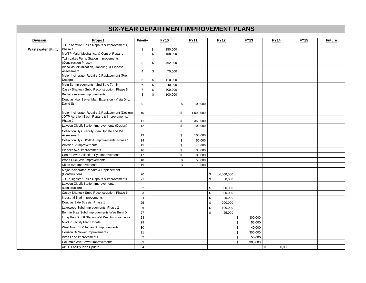| <b>Division</b>           | Project                                                    | Priority       | <b>FY10</b>   |               | <b>FY11</b> | <b>FY12</b>      | <b>FY13</b> |         | <b>FY14</b> |        | <b>FY15</b> | <b>Future</b> |
|---------------------------|------------------------------------------------------------|----------------|---------------|---------------|-------------|------------------|-------------|---------|-------------|--------|-------------|---------------|
|                           | JDTP Aeration Basin Repairs & Improvements,                |                |               |               |             |                  |             |         |             |        |             |               |
| <b>Wastewater Utility</b> | Phase 1                                                    | $\mathbf{1}$   | \$<br>350,000 |               |             |                  |             |         |             |        |             |               |
|                           | <b>MWTP Major Mechanical &amp; Control Repairs</b>         | $\overline{2}$ | \$<br>158,000 |               |             |                  |             |         |             |        |             |               |
|                           | Twin Lakes Pump Station Improvements                       |                |               |               |             |                  |             |         |             |        |             |               |
|                           | (Construction Phase)                                       | 3              | \$<br>462,000 |               |             |                  |             |         |             |        |             |               |
|                           | Biosolids Minimization, Handling, & Disposal<br>Assessment |                |               |               |             |                  |             |         |             |        |             |               |
|                           | Major Incinerator Repairs & Replacement (Pre-              | 4              | \$<br>70,000  |               |             |                  |             |         |             |        |             |               |
|                           | Design)                                                    | 5              | \$<br>110,000 |               |             |                  |             |         |             |        |             |               |
|                           | Main St Improvements - 2nd St to 7th St                    | 6              | \$<br>40,000  |               |             |                  |             |         |             |        |             |               |
|                           | Casey Shattuck Subd Reconstruction, Phase 5                | $\overline{7}$ | \$<br>300,000 |               |             |                  |             |         |             |        |             |               |
|                           | Berners Avenue Improvements                                | 8              | \$<br>100,000 |               |             |                  |             |         |             |        |             |               |
|                           | Douglas Hwy Sewer Main Extension - Vista Dr to             |                |               |               |             |                  |             |         |             |        |             |               |
|                           | David St                                                   | 9              |               | \$            | 100,000     |                  |             |         |             |        |             |               |
|                           | Major Incinerator Repairs & Replacement (Design)           | 10             |               | \$            | 1,000,000   |                  |             |         |             |        |             |               |
|                           | JDTP Aeration Basin Repairs & Improvements,<br>Phase 2     | 11             |               | \$            | 350,000     |                  |             |         |             |        |             |               |
|                           | Lawson Ck Lift Station Improvements (Design)               | 12             |               | $\mathbb S$   | 100,000     |                  |             |         |             |        |             |               |
|                           | Collection Sys. Facility Plan Update and I&I<br>Assessment | 13             |               | \$            | 100,000     |                  |             |         |             |        |             |               |
|                           | Collection Sys. SCADA Improvements, Phase 1                | 14             |               | $\mathbb S$   | 50,000      |                  |             |         |             |        |             |               |
|                           | Whittier St Improvements                                   | 15             |               | $\mathfrak s$ | 40,000      |                  |             |         |             |        |             |               |
|                           | Pioneer Ave. Improvements                                  | 16             |               | \$            | 30,000      |                  |             |         |             |        |             |               |
|                           | Central Ave Collection Sys Improvements                    | 17             |               | $\mathbb S$   | 80,000      |                  |             |         |             |        |             |               |
|                           | Wood Duck Ave Improvements                                 | 18             |               | \$            | 50,000      |                  |             |         |             |        |             |               |
|                           | Dixon Ave Improvements                                     | 19             |               | \$            | 75,000      |                  |             |         |             |        |             |               |
|                           | Major Incinerator Repairs & Replacement                    |                |               |               |             |                  |             |         |             |        |             |               |
|                           | (Construction)                                             | 20             |               |               |             | \$<br>14,000,000 |             |         |             |        |             |               |
|                           | JDTP Digester Basin Repairs & Improvements                 | 21             |               |               |             | \$<br>350,000    |             |         |             |        |             |               |
|                           | Lawson Ck Lift Station Improvements                        |                |               |               |             |                  |             |         |             |        |             |               |
|                           | (Construction)                                             | 22             |               |               |             | \$<br>900,000    |             |         |             |        |             |               |
|                           | Casey Shattuck Subd Reconstruction, Phase 6                | 23             |               |               |             | \$<br>300,000    |             |         |             |        |             |               |
|                           | <b>Industrial Blvd Improvements</b>                        | 24             |               |               |             | \$<br>25,000     |             |         |             |        |             |               |
|                           | Douglas Side Streets, Phase 1                              | 25             |               |               |             | \$<br>200,000    |             |         |             |        |             |               |
|                           | Lakewood Subd Improvements, Phase 2                        | 26             |               |               |             | \$<br>100,000    |             |         |             |        |             |               |
|                           | Bonnie Brae Subd Improvements-Wee Burn Dr                  | 27             |               |               |             | \$<br>25,000     |             |         |             |        |             |               |
|                           | Long Run Dr Lift Station Wet Well Improvements             | 28             |               |               |             | \$               |             | 300,000 |             |        |             |               |
|                           | MWTP Facility Plan Update                                  | 29             |               |               |             | \$               |             | 55,000  |             |        |             |               |
|                           | West Ninth St & Indian St Improvements                     | 30             |               |               |             | $\mathfrak s$    |             | 40,000  |             |        |             |               |
|                           | Horizon Dr Sewer Improvements                              | 31             |               |               |             | \$               |             | 300,000 |             |        |             |               |
|                           | Birch Lane Improvements                                    | 32             |               |               |             | \$               |             | 50,000  |             |        |             |               |
|                           | Columbia Ave Sewer Improvements                            | 33             |               |               |             | \$               |             | 300,000 |             |        |             |               |
|                           | <b>ABTP Facility Plan Update</b>                           | 34             |               |               |             |                  |             |         | \$          | 20,000 |             |               |
|                           |                                                            |                |               |               |             |                  |             |         |             |        |             |               |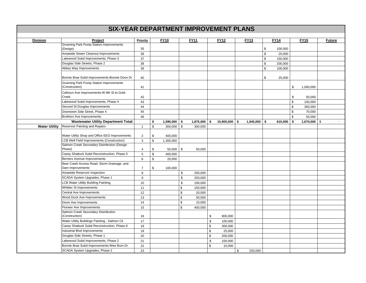| <b>Division</b>      | Project                                                   | <b>Priority</b> |             | <b>FY10</b>    |               | <b>FY11</b> | <b>FY12</b>           | <b>FY13</b>    |      | <b>FY14</b> |    | <b>FY15</b>      | <b>Future</b> |
|----------------------|-----------------------------------------------------------|-----------------|-------------|----------------|---------------|-------------|-----------------------|----------------|------|-------------|----|------------------|---------------|
|                      | Gruening Park Pump Station Improvements                   |                 |             |                |               |             |                       |                |      |             |    |                  |               |
|                      | (Design)                                                  | 35              |             |                |               |             |                       |                | \$   | 100,000     |    |                  |               |
|                      | Areawide Sewer Cleanout Improvements                      | 36              |             |                |               |             |                       |                | \$   | 20,000      |    |                  |               |
|                      | Lakewood Subd Improvements, Phase 3                       | 37              |             |                |               |             |                       |                | $\,$ | 150,000     |    |                  |               |
|                      | Douglas Side Streets, Phase 2                             | 38              |             |                |               |             |                       |                | \$   | 200,000     |    |                  |               |
|                      | Abbey Way Improvements                                    | 39              |             |                |               |             |                       |                | \$   | 100,000     |    |                  |               |
|                      | Bonnie Brae Subd Improvements-Bonnie Doon Dr              | 40              |             |                |               |             |                       |                | \$   | 25,000      |    |                  |               |
|                      | Gruening Park Pump Station Improvements<br>(Construction) | 41              |             |                |               |             |                       |                |      |             | \$ | 1,000,000        |               |
|                      | Calhoun Ave Improvements-W 8th St to Gold<br>Creek        | 42              |             |                |               |             |                       |                |      |             | \$ | 50,000           |               |
|                      | Lakewood Subd Improvements, Phase 4                       | 43              |             |                |               |             |                       |                |      |             | \$ | 150,000          |               |
|                      | Second St Douglas Improvements                            | 44              |             |                |               |             |                       |                |      |             | \$ | 350,000          |               |
|                      | Downtown Side Street, Phase 4                             | 45              |             |                |               |             |                       |                |      |             | \$ | 70,000           |               |
|                      | <b>Brothers Ave Improvements</b>                          | 46              |             |                |               |             |                       |                |      |             | \$ | 50,000           |               |
|                      | <b>Wastewater Utility Department Total:</b>               |                 | \$          | $1,590,000$ \$ |               | 1,875,000   | \$<br>$15,900,000$ \$ | $1,045,000$ \$ |      | 615,000     | S. | $1,670,000$ \ \$ | $\sim$        |
| <b>Water Utility</b> | <b>Reservoir Painting and Repairs</b>                     | $\mathbf{1}$    | $\mathbb S$ | $300,000$ \$   |               | 300,000     |                       |                |      |             |    |                  |               |
|                      |                                                           |                 |             |                |               |             |                       |                |      |             |    |                  |               |
|                      | Water Utility Shop and Office EEO Improvements            | $\sqrt{2}$      | \$          | 400,000        |               |             |                       |                |      |             |    |                  |               |
|                      | <b>LCB Well Field Improvements (Construction)</b>         | 3               | \$          | 1,300,000      |               |             |                       |                |      |             |    |                  |               |
|                      | Salmon Creek Secondary Disinfection (Design               |                 |             |                |               |             |                       |                |      |             |    |                  |               |
|                      | Phase)                                                    | 4               | \$          | $50,000$ \$    |               | 50,000      |                       |                |      |             |    |                  |               |
|                      | Casey Shattuck Subd Reconstruction, Phase 5               | 5               | $\mathbb S$ | 400,000        |               |             |                       |                |      |             |    |                  |               |
|                      | Berners Avenue Improvements                               | 6               | \$          | 20,000         |               |             |                       |                |      |             |    |                  |               |
|                      | Bear Creek Access Road, Storm Drainage, and               |                 |             |                |               |             |                       |                |      |             |    |                  |               |
|                      | Dam Improvements                                          | $\overline{7}$  | \$          | 100,000        |               |             |                       |                |      |             |    |                  |               |
|                      | Areawide Reservoir Inspection                             | 8               |             |                | \$            | 250,000     |                       |                |      |             |    |                  |               |
|                      | SCADA System Upgrades, Phase 1                            | 9               |             |                | $\mathfrak s$ | 250,000     |                       |                |      |             |    |                  |               |
|                      | <b>LCB Water Utility Building Painting</b>                | 10              |             |                | \$            | 100,000     |                       |                |      |             |    |                  |               |
|                      | Whittier St Improvements                                  | 11              |             |                | \$            | 150,000     |                       |                |      |             |    |                  |               |
|                      | Central Ave Improvements                                  | 12              |             |                | $\mathbb S$   | 20,000      |                       |                |      |             |    |                  |               |
|                      | Wood Duck Ave Improvements                                | 13              |             |                | \$            | 50,000      |                       |                |      |             |    |                  |               |
|                      | Dixon Ave Improvements                                    | 14              |             |                | $\mathbb{S}$  | 10,000      |                       |                |      |             |    |                  |               |
|                      | Pioneer Ave Improvements                                  | 15              |             |                | $\mathbb{S}$  | 400,000     |                       |                |      |             |    |                  |               |
|                      | Salmon Creek Secondary Disinfection                       |                 |             |                |               |             |                       |                |      |             |    |                  |               |
|                      | (Construction)                                            | 16              |             |                |               |             | \$<br>800,000         |                |      |             |    |                  |               |
|                      | Water Utility Buildings Painting - Salmon Ck              | 17              |             |                |               |             | \$<br>100,000         |                |      |             |    |                  |               |
|                      | Casey Shattuck Subd Reconstruction, Phase 6               | 18              |             |                |               |             | \$<br>300,000         |                |      |             |    |                  |               |
|                      | Industrial Blvd Improvements                              | 19              |             |                |               |             | \$<br>25,000          |                |      |             |    |                  |               |
|                      | Douglas Side Streets, Phase 1                             | 20              |             |                |               |             | \$<br>200,000         |                |      |             |    |                  |               |
|                      | Lakewood Subd Improvements, Phase 2                       | 21              |             |                |               |             | \$<br>100,000         |                |      |             |    |                  |               |
|                      | Bonnie Brae Subd Improvements-Wee Burn Dr                 | 22              |             |                |               |             | \$<br>15,000          |                |      |             |    |                  |               |
|                      | SCADA System Upgrades, Phase 2                            | 23              |             |                |               |             |                       | \$<br>250,000  |      |             |    |                  |               |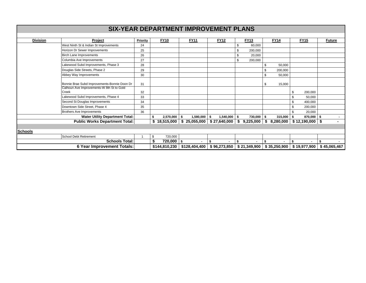| <b>Division</b> | Project                                      | <b>Priority</b> | <b>FY10</b>    | <b>FY11</b>      | <b>FY12</b>     |     | <b>FY13</b>  | <b>FY14</b>     |     | <b>FY15</b>       | <b>Future</b> |
|-----------------|----------------------------------------------|-----------------|----------------|------------------|-----------------|-----|--------------|-----------------|-----|-------------------|---------------|
|                 | West Ninth St & Indian St Improvements       | 24              |                |                  |                 | \$  | 60,000       |                 |     |                   |               |
|                 | Horizon Dr Sewer Improvements                | 25              |                |                  |                 | \$  | 200,000      |                 |     |                   |               |
|                 | <b>Birch Lane Improvements</b>               | 26              |                |                  |                 | \$  | 20,000       |                 |     |                   |               |
|                 | Columbia Ave Improvements                    | 27              |                |                  |                 | \$  | 200,000      |                 |     |                   |               |
|                 | Lakewood Subd Improvements, Phase 3          | 28              |                |                  |                 |     |              | \$<br>50,000    |     |                   |               |
|                 | Douglas Side Streets, Phase 2                | 29              |                |                  |                 |     |              | \$<br>200,000   |     |                   |               |
|                 | Abbey Way Improvements                       | 30              |                |                  |                 |     |              | \$<br>50,000    |     |                   |               |
|                 |                                              |                 |                |                  |                 |     |              |                 |     |                   |               |
|                 | Bonnie Brae Subd Improvements-Bonnie Doon Dr |                 |                |                  |                 |     |              | \$<br>15,000    |     |                   |               |
|                 | Calhoun Ave Improvements-W 8th St to Gold    |                 |                |                  |                 |     |              |                 |     |                   |               |
|                 | Creek                                        |                 |                |                  |                 |     |              |                 | \$  | 200,000           |               |
|                 | Lakewood Subd Improvements, Phase 4          |                 |                |                  |                 |     |              |                 |     | 50,000            |               |
|                 | Second St Douglas Improvements               | 34              |                |                  |                 |     |              |                 | \$. | 400,000           |               |
|                 | Downtown Side Street, Phase 4                | 35              |                |                  |                 |     |              |                 | \$  | 200,000           |               |
|                 | Brothers Ave Improvements                    | 36              |                |                  |                 |     |              |                 |     | 20,000            |               |
|                 | <b>Water Utility Department Total:</b>       |                 | 2,570,000      | -\$<br>1,580,000 | \$<br>1,540,000 | -\$ | 730,000      | \$<br>315,000   | \$  | 870,000 \$        | $\sim$        |
|                 | <b>Public Works Department Total:</b>        |                 | \$18,515,000   | \$25,055,000     | \$27,640,000    | \$  | 9,225,000    | \$<br>8,280,000 |     | $$12,190,000$ \\$ |               |
|                 |                                              |                 |                |                  |                 |     |              |                 |     |                   |               |
| <b>Schools</b>  |                                              |                 |                |                  |                 |     |              |                 |     |                   |               |
|                 | School Debt Retirement                       |                 | \$<br>720,000  |                  |                 |     |              |                 |     |                   |               |
|                 | <b>Schools Total:</b>                        |                 | $720,000$   \$ |                  | $\blacksquare$  | -\$ |              |                 |     |                   |               |
|                 | 6 Year Improvement Totals:                   |                 | \$144,810,230  | \$128,404,400    | \$96,273,850    |     | \$21,349,900 | \$35,250,900    |     | \$19,977,900      | \$45,065,467  |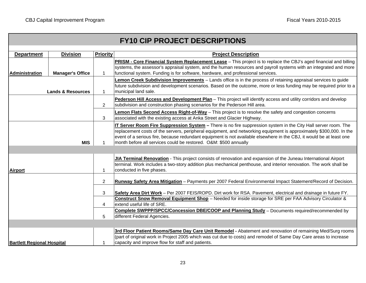|  |  |  |  |  |  | <b>FY10 CIP PROJECT DESCRIPTIONS</b> |
|--|--|--|--|--|--|--------------------------------------|
|--|--|--|--|--|--|--------------------------------------|

| <b>Department</b>                 | <b>Division</b>              | <b>Priority</b> | <b>Project Description</b>                                                                                                                  |
|-----------------------------------|------------------------------|-----------------|---------------------------------------------------------------------------------------------------------------------------------------------|
|                                   |                              |                 | PRISM - Core Financial System Replacement Lease - This project is to replace the CBJ's aged financial and billing                           |
|                                   |                              |                 | systems, the assessor's appraisal system, and the human resources and payroll systems with an integrated and more                           |
| <b>Administration</b>             | <b>Manager's Office</b>      | $\mathbf 1$     | functional system. Funding is for software, hardware, and professional services.                                                            |
|                                   |                              |                 | Lemon Creek Subdivision Improvements - Lands office is in the process of retaining appraisal services to guide                              |
|                                   | <b>Lands &amp; Resources</b> | $\mathbf{1}$    | future subdivision and development scenarios. Based on the outcome, more or less funding may be required prior to a<br>municipal land sale. |
|                                   |                              |                 |                                                                                                                                             |
|                                   |                              |                 | Pederson Hill Access and Development Plan - This project will identify access and utility corridors and develop                             |
|                                   |                              | $\overline{2}$  | subdivision and construction phasing scenarios for the Pederson Hill area.                                                                  |
|                                   |                              |                 | <b>Lemon Flats Second Access Right-of-Way</b> - This project is to resolve the safety and congestion concerns                               |
|                                   |                              | 3               | associated with the existing access at Anka Street and Glacier Highway.                                                                     |
|                                   |                              |                 | IT Server Room Fire Suppression System - There is no fire suppression system in the City Hall server room. The                              |
|                                   |                              |                 | replacement costs of the servers, peripheral equipment, and networking equipment is approximately \$300,000. In the                         |
|                                   |                              |                 | event of a serious fire, because redundant equipment is not available elsewhere in the CBJ, it would be at least one                        |
|                                   | <b>MIS</b>                   |                 | month before all services could be restored. O&M: \$500 annually                                                                            |
|                                   |                              |                 |                                                                                                                                             |
|                                   |                              |                 | JIA Terminal Renovation - This project consists of renovation and expansion of the Juneau International Airport                             |
|                                   |                              |                 | terminal. Work includes a two-story addition plus mechanical penthouse, and interior renovation. The work shall be                          |
| <b>Airport</b>                    |                              | 1               | conducted in five phases.                                                                                                                   |
|                                   |                              |                 |                                                                                                                                             |
|                                   |                              | $\overline{2}$  | Runway Safety Area Mitigation - Payments per 2007 Federal Environmental Impact Statement/Record of Decision.                                |
|                                   |                              | 3               | Safety Area Dirt Work - Per 2007 FEIS/ROPD. Dirt work for RSA. Pavement, electrical and drainage in future FY.                              |
|                                   |                              |                 | Construct Snow Removal Equipment Shop - Needed for inside storage for SRE per FAA Advisory Circulator &                                     |
|                                   |                              | 4               | extend useful life of SRE.                                                                                                                  |
|                                   |                              |                 | <b>Complete SWPPP/SPCC/Concession DBE/COOP and Planning Study</b> - Documents required/recommended by                                       |
|                                   |                              | 5               | different Federal Agencies.                                                                                                                 |
|                                   |                              |                 |                                                                                                                                             |
|                                   |                              |                 | 3rd Floor Patient Rooms/Same Day Care Unit Remodel - Abatement and renovation of remaining Med/Surg rooms                                   |
|                                   |                              |                 | (part of original work in Project 2005 which was cut due to costs) and remodel of Same Day Care areas to increase                           |
| <b>Bartlett Regional Hospital</b> |                              |                 | capacity and improve flow for staff and patients.                                                                                           |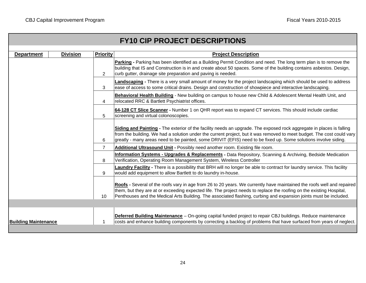|                             |                 |                 | <b>FY10 CIP PROJECT DESCRIPTIONS</b>                                                                                                                                                                                                                                                                                                                                |
|-----------------------------|-----------------|-----------------|---------------------------------------------------------------------------------------------------------------------------------------------------------------------------------------------------------------------------------------------------------------------------------------------------------------------------------------------------------------------|
|                             |                 |                 |                                                                                                                                                                                                                                                                                                                                                                     |
| <b>Department</b>           | <b>Division</b> | <b>Priority</b> | <b>Project Description</b>                                                                                                                                                                                                                                                                                                                                          |
|                             |                 | $\overline{2}$  | Parking - Parking has been identified as a Building Permit Condition and need. The long term plan is to remove the<br>building that IS and Construction is in and create about 50 spaces. Some of the building contains asbestos. Design,<br>curb gutter, drainage site preparation and paving is needed.                                                           |
|                             |                 | 3               | Landscaping - There is a very small amount of money for the project landscaping which should be used to address<br>ease of access to some critical drains. Design and construction of showpiece and interactive landscaping.                                                                                                                                        |
|                             |                 | 4               | Behavioral Health Building - New building on campus to house new Child & Adolescent Mental Health Unit, and<br>relocated RRC & Bartlett Psychiatrist offices.                                                                                                                                                                                                       |
|                             |                 | 5               | 64-128 CT Slice Scanner - Number 1 on QHR report was to expand CT services. This should include cardiac<br>screening and virtual colonoscopies.                                                                                                                                                                                                                     |
|                             |                 | 6               | Siding and Painting - The exterior of the facility needs an upgrade. The exposed rock aggregate in places is falling<br>from the building. We had a solution under the current project, but it was removed to meet budget. The cost could vary<br>greatly - many areas need to be painted, some DRIVIT (EFIS) need to be fixed up. Some solutions involve siding.   |
|                             |                 | $\overline{7}$  | Additional Ultrasound Unit - Possibly need another room. Existing file room.                                                                                                                                                                                                                                                                                        |
|                             |                 | 8               | <b>Information Systems - Upgrades &amp; Replacements -</b> Data Repository, Scanning & Archiving, Bedside Medication<br>Verification, Operating Room Management System, Wireless Controller                                                                                                                                                                         |
|                             |                 | 9               | Laundry Facility - There is a possibility that BRH will no longer be able to contract for laundry service. This facility<br>would add equipment to allow Bartlett to do laundry in-house.                                                                                                                                                                           |
|                             |                 | 10              | Roofs - Several of the roofs vary in age from 26 to 20 years. We currently have maintained the roofs well and repaired<br>them, but they are at or exceeding expected life. The project needs to replace the roofing on the existing Hospital,<br>Penthouses and the Medical Arts Building. The associated flashing, curbing and expansion joints must be included. |
|                             |                 |                 |                                                                                                                                                                                                                                                                                                                                                                     |
| <b>Building Maintenance</b> |                 | 1               | <b>Deferred Building Maintenance</b> – On-going capital funded project to repair CBJ buildings. Reduce maintenance<br>costs and enhance building components by correcting a backlog of problems that have surfaced from years of neglect.                                                                                                                           |
|                             |                 |                 |                                                                                                                                                                                                                                                                                                                                                                     |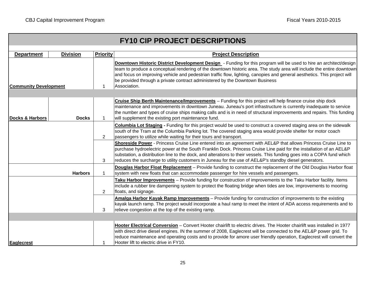|                              |                 |                 | <b>FY10 CIP PROJECT DESCRIPTIONS</b>                                                                                                                                                                                                                                                                                                                                                                                                                                        |
|------------------------------|-----------------|-----------------|-----------------------------------------------------------------------------------------------------------------------------------------------------------------------------------------------------------------------------------------------------------------------------------------------------------------------------------------------------------------------------------------------------------------------------------------------------------------------------|
| <b>Department</b>            | <b>Division</b> | <b>Priority</b> | <b>Project Description</b>                                                                                                                                                                                                                                                                                                                                                                                                                                                  |
| <b>Community Development</b> |                 | 1               | Downtown Historic District Development Design - Funding for this program will be used to hire an architect/design<br>team to produce a conceptual rendering of the downtown historic area. The study area will include the entire downtown<br>and focus on improving vehicle and pedestrian traffic flow, lighting, canopies and general aesthetics. This project will<br>be provided through a private contract administered by the Downtown Business<br>Association.      |
|                              |                 |                 |                                                                                                                                                                                                                                                                                                                                                                                                                                                                             |
| <b>Docks &amp; Harbors</b>   | <b>Docks</b>    | $\overline{1}$  | Cruise Ship Berth Maintenance/Improvements - Funding for this project will help finance cruise ship dock<br>maintenance and improvements in downtown Juneau. Juneau's port infrastructure is currently inadequate to service<br>the number and types of cruise ships making calls and is in need of structural improvements and repairs. This funding<br>will supplement the existing port maintenance fund.                                                                |
|                              |                 | 2               | <b>Columbia Lot Staging - Funding for this project would be used to construct a covered staging area on the sidewalk</b><br>south of the Tram at the Columbia Parking lot. The covered staging area would provide shelter for motor coach<br>passengers to utilize while waiting for their tours and transport.                                                                                                                                                             |
|                              |                 | 3               | Shoreside Power - Princess Cruise Line entered into an agreement with AEL&P that allows Princess Cruise Line to<br>purchase hydroelectric power at the South Franklin Dock. Princess Cruise Line paid for the installation of an AEL&P<br>substation, a distribution line to the dock, and alterations to their vessels. This funding goes into a COPA fund which<br>reduces the surcharge to utility customers in Juneau for the use of AEL&P's standby diesel generators. |
|                              | <b>Harbors</b>  | $\mathbf{1}$    | Douglas Harbor Float Replacement - Provide funding to construct the replacement of the Old Douglas Harbor float<br>system with new floats that can accommodate passenger for hire vessels and passengers.                                                                                                                                                                                                                                                                   |
|                              |                 | 2               | Taku Harbor Improvements - Provide funding for construction of improvements to the Taku Harbor facility. Items<br>include a rubber tire dampening system to protect the floating bridge when tides are low, improvements to mooring<br>floats, and signage.                                                                                                                                                                                                                 |
|                              |                 | 3               | Amalga Harbor Kayak Ramp Improvements - Provide funding for construction of improvements to the existing<br>kayak launch ramp. The project would incorporate a haul ramp to meet the intent of ADA access requirements and to<br>relieve congestion at the top of the existing ramp.                                                                                                                                                                                        |
|                              |                 |                 |                                                                                                                                                                                                                                                                                                                                                                                                                                                                             |
| <b>Eaglecrest</b>            |                 | 1               | Hooter Electrical Conversion - Convert Hooter chairlift to electric drives. The Hooter chairlift was installed in 1977<br>with direct drive diesel engines. IN the summer of 2008, Eaglecrest will be connected to the AEL&P power grid. To<br>reduce maintenance and operating costs and to provide for amore user friendly operation, Eaglecrest will convert the<br>Hooter lift to electric drive in FY10.                                                               |
|                              |                 |                 |                                                                                                                                                                                                                                                                                                                                                                                                                                                                             |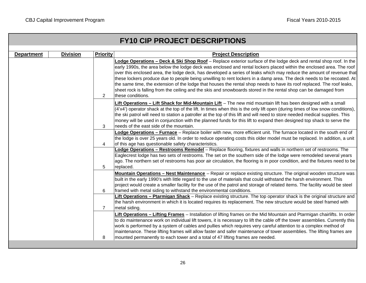| <b>FY10 CIP PROJECT DESCRIPTIONS</b> |                 |                 |                                                                                                                                                                                                                                                                                                                                                                                                                                                                                                                                                                                                                                                                                                                                                               |
|--------------------------------------|-----------------|-----------------|---------------------------------------------------------------------------------------------------------------------------------------------------------------------------------------------------------------------------------------------------------------------------------------------------------------------------------------------------------------------------------------------------------------------------------------------------------------------------------------------------------------------------------------------------------------------------------------------------------------------------------------------------------------------------------------------------------------------------------------------------------------|
| <b>Department</b>                    | <b>Division</b> | <b>Priority</b> | <b>Project Description</b>                                                                                                                                                                                                                                                                                                                                                                                                                                                                                                                                                                                                                                                                                                                                    |
|                                      |                 | $\overline{2}$  | Lodge Operations - Deck & Ski Shop Roof - Replace exterior surface of the lodge deck and rental shop roof. In the<br>early 1990s, the area below the lodge deck was enclosed and rental lockers placed within the enclosed area. The roof<br>over this enclosed area, the lodge deck, has developed a series of leaks which may reduce the amount of revenue that<br>these lockers produce due to people being unwilling to rent lockers in a damp area. The deck needs to be recoated. At<br>the same time, the extension of the lodge that houses the rental shop needs to have its roof replaced. The roof leaks,<br>sheet rock is falling from the ceiling and the skis and snowboards stored in the rental shop can be damaged from<br>these conditions. |
|                                      |                 | 3               | Lift Operations - Lift Shack for Mid-Mountain Lift - The new mid mountain lift has been designed with a small<br>(4'x4') operator shack at the top of the lift. In times when this is the only lift open (during times of low snow conditions),<br>the ski patrol will need to station a patroller at the top of this lift and will need to store needed medical supplies. This<br>money will be used in conjunction with the planned funds for this lift to expand then designed top shack to serve the<br>needs of the east side of the mountain.                                                                                                                                                                                                           |
|                                      |                 | 4               | Lodge Operations - Furnace - Replace boiler with new, more efficient unit. The furnace located in the south end of<br>the lodge is over 25 years old. In order to reduce operating costs this older model must be replaced. In addition, a unit<br>of this age has questionable safety characteristics.                                                                                                                                                                                                                                                                                                                                                                                                                                                       |
|                                      |                 | 5               | Lodge Operations - Restrooms Remodel - Replace flooring, fixtures and walls in northern set of restrooms. The<br>Eaglecrest lodge has two sets of restrooms. The set on the southern side of the lodge were remodeled several years<br>ago. The northern set of restrooms has poor air circulation, the flooring is in poor condition, and the fixtures need to be<br>replaced.                                                                                                                                                                                                                                                                                                                                                                               |
|                                      |                 | 6               | Mountain Operations - Nest Maintenance - Repair or replace existing structure. The original wooden structure was<br>built in the early 1990's with little regard to the use of materials that could withstand the harsh environment. This<br>project would create a smaller facility for the use of the patrol and storage of related items. The facility would be steel<br>framed with metal siding to withstand the environmental conditions.                                                                                                                                                                                                                                                                                                               |
|                                      |                 | $\overline{7}$  | Lift Operations - Ptarmigan Shack - Replace existing structure. The top operator shack is the original structure and<br>the harsh environment in which it is located requires its replacement. The new structure would be steel framed with<br>metal siding.                                                                                                                                                                                                                                                                                                                                                                                                                                                                                                  |
|                                      |                 |                 | Lift Operations - Lifting Frames - Installation of lifting frames on the Mid Mountain and Ptarmigan chairlifts. In order<br>to do maintenance work on individual lift towers, it is necessary to lift the cable off the tower assemblies. Currently this<br>work is performed by a system of cables and pullies which requires very careful attention to a complex method of<br>maintenance. These lifting frames will allow faster and safer maintenance of tower assemblies. The lifting frames are                                                                                                                                                                                                                                                         |
|                                      |                 | 8               | mounted permanently to each tower and a total of 47 lifting frames are needed.                                                                                                                                                                                                                                                                                                                                                                                                                                                                                                                                                                                                                                                                                |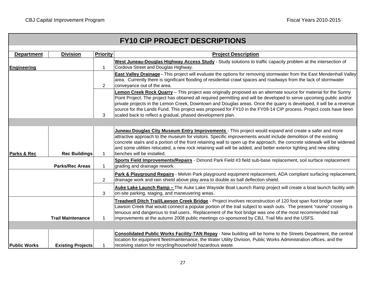|                     |                          |                 | <b>FY10 CIP PROJECT DESCRIPTIONS</b>                                                                                                                                                                                                                                                                                                                                                                                                                                                                                                                |
|---------------------|--------------------------|-----------------|-----------------------------------------------------------------------------------------------------------------------------------------------------------------------------------------------------------------------------------------------------------------------------------------------------------------------------------------------------------------------------------------------------------------------------------------------------------------------------------------------------------------------------------------------------|
|                     |                          |                 |                                                                                                                                                                                                                                                                                                                                                                                                                                                                                                                                                     |
| <b>Department</b>   | <b>Division</b>          | <b>Priority</b> | <b>Project Description</b>                                                                                                                                                                                                                                                                                                                                                                                                                                                                                                                          |
| <b>Engineering</b>  |                          | $\mathbf{1}$    | West Juneau-Douglas Highway Access Study - Study solutions to traffic capacity problem at the intersection of<br>Cordova Street and Douglas Highway.                                                                                                                                                                                                                                                                                                                                                                                                |
|                     |                          | 2               | East Valley Drainage - This project will evaluate the options for removing stormwater from the East Mendenhall Valley<br>area. Currently there is significant flooding of residential crawl spaces and roadways from the lack of stormwater<br>conveyance out of the area.                                                                                                                                                                                                                                                                          |
|                     |                          | 3               | Lemon Creek Rock Quarry - This project was originally proposed as an alternate source for material for the Sunny<br>Point Project. The project has obtained all required permitting and will be developed to serve upcoming public and/or<br>private projects in the Lemon Creek, Downtown and Douglas areas. Once the quarry is developed, it will be a revenue<br>source for the Lands Fund. This project was proposed for FY10 in the FY09-14 CIP process. Project costs have been<br>scaled back to reflect a gradual, phased development plan. |
|                     |                          |                 |                                                                                                                                                                                                                                                                                                                                                                                                                                                                                                                                                     |
| Parks & Rec         | <b>Rec Buildings</b>     | $\mathbf{1}$    | Juneau Douglas City Museum Entry Improvements - This project would expand and create a safer and more<br>attractive approach to the museum for visitors. Specific improvements would include demolition of the existing<br>concrete stairs and a portion of the front retaining wall to open up the approach, the concrete sidewalk will be widened<br>and some utilities relocated, a new rock retaining wall will be added, and better exterior lighting and new sitting<br>benches will be installed.                                            |
|                     | <b>Parks/Rec Areas</b>   | $\mathbf{1}$    | Sports Field Improvements/Repairs - Dimond Park Field #3 field sub-base replacement, soil surface replacement<br>grading and drainage rework.                                                                                                                                                                                                                                                                                                                                                                                                       |
|                     |                          | $\overline{2}$  | Park & Playground Repairs - Melvin Park playground equipment replacement, ADA compliant surfacing replacement,<br>drainage work and rain shield above play area to double as ball deflection shield.                                                                                                                                                                                                                                                                                                                                                |
|                     |                          | 3               | Auke Lake Launch Ramp - The Auke Lake Wayside Boat Launch Ramp project will create a boat launch facility with<br>on-site parking, staging, and maneuvering areas.                                                                                                                                                                                                                                                                                                                                                                                  |
|                     | <b>Trail Maintenance</b> | -1              | Treadwell Ditch Trail/Lawson Creek Bridge - Project involves reconstruction of 120 foot span foot bridge over<br>Lawson Creek that would connect a popular portion of the trail subject to wash outs. The present "ravine" crossing is<br>tenuous and dangerous to trail users. Replacement of the foot bridge was one of the most recommended trail<br>improvements at the autumn 2008 public meetings co-sponsored by CBJ, Trail Mix and the USFS.                                                                                                |
|                     |                          |                 |                                                                                                                                                                                                                                                                                                                                                                                                                                                                                                                                                     |
|                     |                          |                 | Consolidated Public Works Facility-TAN Repay - New building will be home to the Streets Department, the central<br>location for equipment fleet/maintenance, the Water Utility Division, Public Works Administration offices, and the                                                                                                                                                                                                                                                                                                               |
| <b>Public Works</b> | <b>Existing Projects</b> |                 | receiving station for recycling/household hazardous waste.                                                                                                                                                                                                                                                                                                                                                                                                                                                                                          |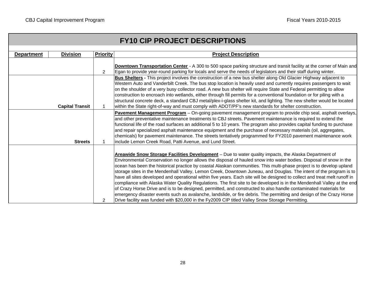|                   |                        |                 | <b>FY10 CIP PROJECT DESCRIPTIONS</b>                                                                                                                                                                                                                                                                                                                                                                                                                                                                                                                                                                                                                                                                                                                                                                                                                                                                                                                                                                                                                                               |
|-------------------|------------------------|-----------------|------------------------------------------------------------------------------------------------------------------------------------------------------------------------------------------------------------------------------------------------------------------------------------------------------------------------------------------------------------------------------------------------------------------------------------------------------------------------------------------------------------------------------------------------------------------------------------------------------------------------------------------------------------------------------------------------------------------------------------------------------------------------------------------------------------------------------------------------------------------------------------------------------------------------------------------------------------------------------------------------------------------------------------------------------------------------------------|
| <b>Department</b> | <b>Division</b>        | <b>Priority</b> | <b>Project Description</b>                                                                                                                                                                                                                                                                                                                                                                                                                                                                                                                                                                                                                                                                                                                                                                                                                                                                                                                                                                                                                                                         |
|                   |                        | 2               | <b>Downtown Transportation Center</b> - A 300 to 500 space parking structure and transit facility at the corner of Main and<br>Egan to provide year-round parking for locals and serve the needs of legislators and their staff during winter.                                                                                                                                                                                                                                                                                                                                                                                                                                                                                                                                                                                                                                                                                                                                                                                                                                     |
|                   | <b>Capital Transit</b> | 1               | Bus Shelters - This project involves the construction of a new bus shelter along Old Glacier Highway adjacent to<br>Western Auto and Vanderbilt Creek. The bus stop location is heavily used and currently requires passengers to wait<br>on the shoulder of a very busy collector road. A new bus shelter will require State and Federal permitting to allow<br>construction to encroach into wetlands, either through fill permits for a conventional foundation or for piling with a<br>structural concrete deck, a standard CBJ metal/plex-i-glass shelter kit, and lighting. The new shelter would be located<br>within the State right-of-way and must comply with ADOT/PF's new standards for shelter construction.                                                                                                                                                                                                                                                                                                                                                         |
|                   | <b>Streets</b>         |                 | Pavement Management Program - On-going pavement management program to provide chip seal, asphalt overlays,<br>and other preventative maintenance treatments to CBJ streets. Pavement maintenance is required to extend the<br>functional life of the road surfaces an additional 5 to 10 years. The program also provides capital funding to purchase<br>and repair specialized asphalt maintenance equipment and the purchase of necessary materials (oil, aggregates,<br>chemicals) for pavement maintenance. The streets tentatively programmed for FY2010 pavement maintenance work<br>include Lemon Creek Road, Patti Avenue, and Lund Street.                                                                                                                                                                                                                                                                                                                                                                                                                                |
|                   |                        | 2               | Areawide Snow Storage Facilities Development - Due to water quality impacts, the Alaska Department of<br>Environmental Conservation no longer allows the disposal of hauled snow into water bodies. Disposal of snow in the<br>ocean has been the historical practice by coastal Alaskan communities. This multi-phase project is to develop upland<br>storage sites in the Mendenhall Valley, Lemon Creek, Downtown Juneau, and Douglas. The intent of the program is to<br>have all sites developed and operational within five years. Each site will be designed to collect and treat melt runoff in<br>compliance with Alaska Water Quality Regulations. The first site to be developed is in the Mendenhall Valley at the end<br>of Crazy Horse Drive and is to be designed, permitted, and constructed to also handle contaminated materials for<br>emergency disaster events such as avalanche, landslide, or fire debris. The permitting and design of the Crazy Horse<br>Drive facility was funded with \$20,000 in the Fy2009 CIP titled Valley Snow Storage Permitting. |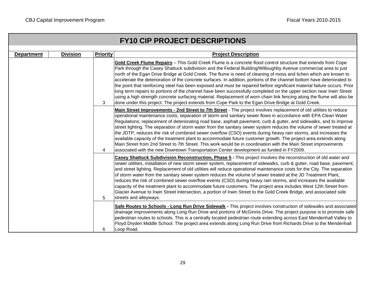|                   |                 |                 | <b>FY10 CIP PROJECT DESCRIPTIONS</b>                                                                                                                                                                                                                                                                                                                                                                                                                                                                                                                                                                                                                                                                                                                                                                                                                                                                                                                                 |
|-------------------|-----------------|-----------------|----------------------------------------------------------------------------------------------------------------------------------------------------------------------------------------------------------------------------------------------------------------------------------------------------------------------------------------------------------------------------------------------------------------------------------------------------------------------------------------------------------------------------------------------------------------------------------------------------------------------------------------------------------------------------------------------------------------------------------------------------------------------------------------------------------------------------------------------------------------------------------------------------------------------------------------------------------------------|
| <b>Department</b> | <b>Division</b> | <b>Priority</b> | <b>Project Description</b>                                                                                                                                                                                                                                                                                                                                                                                                                                                                                                                                                                                                                                                                                                                                                                                                                                                                                                                                           |
|                   |                 | 3               | Gold Creek Flume Repairs - This Gold Creek Flume is a concrete flood control structure that extends from Cope<br>Park through the Casey Shattuck subdivision and the Federal Building/Willoughby Avenue commercial area to just<br>north of the Egan Drive Bridge at Gold Creek. The flume is need of cleaning of moss and lichen which are known to<br>accelerate the deterioration of the concrete surfaces. In addition, portions of the channel bottom have deteriorated to<br>the point that reinforcing steel has been exposed and must be repaired before significant material failure occurs. Prior<br>long term repairs to portions of the channel have been successfully completed on the upper section near Irwin Street<br>using a high strength concrete surfacing material. Replacement of worn chain link fencing along the flume will also be<br>done under this project. The project extends from Cope Park to the Egan Drive Bridge at Gold Creek. |
|                   |                 | 4               | Main Street Improvements - 2nd Street to 7th Street - The project involves replacement of old utilities to reduce<br>operational maintenance costs; separation of storm and sanitary sewer flows in accordance with EPA Clean Water<br>Regulations; replacement of deteriorating road base, asphalt pavement, curb & gutter, and sidewalks, and to improve<br>street lighting. The separation of storm water from the sanitary sewer system reduces the volume of sewer treated at<br>the JDTP, reduces the risk of combined sewer overflow (CSO) events during heavy rain storms, and increases the<br>available capacity of the treatment plant to accommodate future customer growth. The project area extends along<br>Main Street from 2nd Street to 7th Street. This work would be in coordination with the Main Street improvements<br>associated with the new Downtown Transportation Center development as funded in FY2009.                                |
|                   |                 | 5               | Casey Shattuck Subdivision Reconstruction, Phase 5 - This project involves the reconstruction of old water and<br>sewer utilities, installation of new storm sewer system, replacement of sidewalks, curb & gutter, road base, pavement,<br>and street lighting. Replacement of old utilities will reduce operational maintenance costs for the City. The separation<br>of storm water from the sanitary sewer system reduces the volume of sewer treated at the JD Treatment Plant,<br>reduces the risk of combined sewer overflow events (CSO) during heavy rain storms, and increases the available<br>capacity of the treatment plant to accommodate future customers. The project area includes West 12th Street from<br>Glacier Avenue to Irwin Street intersection, a portion of Irwin Street to the Gold Creek Bridge, and associated side<br>streets and alleyways.                                                                                         |
|                   |                 | 6               | Safe Routes to Schools - Long Run Drive Sidewalk - This project involves construction of sidewalks and associated<br>drainage improvements along Long Run Drive and portions of McGinnis Drive. The project purpose is to promote safe<br>pedestrian routes to schools. This is a centrally located pedestrian route extending across East Mendenhall Valley to<br>Floyd Dryden Middle School. The project area extends along Long Run Drive from Richards Drive to the Mendenhall<br>Loop Road.                                                                                                                                                                                                                                                                                                                                                                                                                                                                     |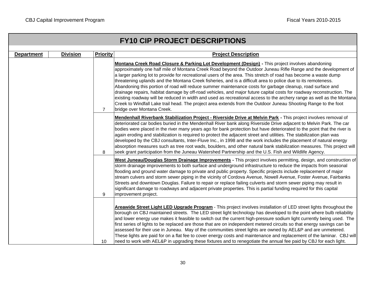|                   |                 |                 | <b>FY10 CIP PROJECT DESCRIPTIONS</b>                                                                                                                                                                                                                                                                                                                                                                                                                                                                                                                                                                                                                                                                                                                                                                                                                                                                                                                                    |
|-------------------|-----------------|-----------------|-------------------------------------------------------------------------------------------------------------------------------------------------------------------------------------------------------------------------------------------------------------------------------------------------------------------------------------------------------------------------------------------------------------------------------------------------------------------------------------------------------------------------------------------------------------------------------------------------------------------------------------------------------------------------------------------------------------------------------------------------------------------------------------------------------------------------------------------------------------------------------------------------------------------------------------------------------------------------|
| <b>Department</b> | <b>Division</b> | <b>Priority</b> | <b>Project Description</b>                                                                                                                                                                                                                                                                                                                                                                                                                                                                                                                                                                                                                                                                                                                                                                                                                                                                                                                                              |
|                   |                 | $\overline{7}$  | Montana Creek Road Closure & Parking Lot Development (Design) - This project involves abandoning<br>approximately one half mile of Montana Creek Road beyond the Outdoor Juneau Rifle Range and the development of<br>a larger parking lot to provide for recreational users of the area. This stretch of road has become a waste dump<br>threatening uplands and the Montana Creek fisheries, and is a difficult area to police due to its remoteness.<br>Abandoning this portion of road will reduce summer maintenance costs for garbage cleanup, road surface and<br>drainage repairs, habitat damage by off-road vehicles, and major future capital costs for roadway reconstruction. The<br>existing roadway will be reduced in width and used as recreational access to the archery range as well as the Montana<br>Creek to Windfall Lake trail head. The project area extends from the Outdoor Juneau Shooting Range to the foot<br>bridge over Montana Creek. |
|                   |                 | 8               | Mendenhall Riverbank Stabilization Project - Riverside Drive at Melvin Park - This project involves removal of<br>deteriorated car bodies buried in the Mendenhall River bank along Riverside Drive adjacent to Melvin Park. The car<br>bodies were placed in the river many years ago for bank protection but have deteriorated to the point that the river is<br>again eroding and stabilization is required to protect the adjacent street and utilities. The stabilization plan was<br>developed by the CBJ consultants, Inter-Fluve Inc., in 1998 and the work includes the placement of natural energy<br>absorption measures such as tree root wads, boulders, and other natural bank stabilization measures. This project will<br>seek grant participation from the Juneau Watershed Partnership and the U.S. Fish and Wildlife Agency.                                                                                                                         |
|                   |                 | 9               | West Juneau/Douglas Storm Drainage Improvements - This project involves permitting, design, and construction of<br>storm drainage improvements to both surface and underground infrastructure to reduce the impacts from seasonal<br>flooding and ground water damage to private and public property. Specific projects include replacement of major<br>stream culvers and storm sewer piping in the vicinity of Cordova Avenue, Nowell Avenue, Foster Avenue, Fairbanks<br>Streets and downtown Douglas. Failure to repair or replace failing culverts and storm sewer piping may result in<br>significant damage to roadways and adjacent private properties. This is partial funding required for this capital<br>improvement project.                                                                                                                                                                                                                               |
|                   |                 | 10              | Areawide Street Light LED Upgrade Program - This project involves installation of LED street lights throughout the<br>borough on CBJ maintained streets. The LED street light technology has developed to the point where bulb reliability<br>and lower energy use makes it feasible to switch out the current high-pressure sodium light currently being used. The<br>first series of lights to be replaced are those that are on independent metered circuits so that energy savings can be<br>assessed for their use in Juneau. May of the communities street lights are owned by AEL&P and are unmetered.<br>These lights are paid for on a flat fee to cover energy costs and maintenance and replacement of the laminar. CBJ will<br>need to work with AEL&P in upgrading these fixtures and to renegotiate the annual fee paid by CBJ for each light.                                                                                                            |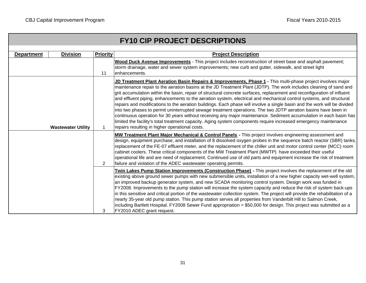|                   |                           |                 | <b>FY10 CIP PROJECT DESCRIPTIONS</b>                                                                                                                                                                                                                                                                                                                                                                                                                                                                                                                                                                                                                                                                                                                                                                                                                                                                                                                                                                                          |
|-------------------|---------------------------|-----------------|-------------------------------------------------------------------------------------------------------------------------------------------------------------------------------------------------------------------------------------------------------------------------------------------------------------------------------------------------------------------------------------------------------------------------------------------------------------------------------------------------------------------------------------------------------------------------------------------------------------------------------------------------------------------------------------------------------------------------------------------------------------------------------------------------------------------------------------------------------------------------------------------------------------------------------------------------------------------------------------------------------------------------------|
| <b>Department</b> | <b>Division</b>           | <b>Priority</b> | <b>Project Description</b>                                                                                                                                                                                                                                                                                                                                                                                                                                                                                                                                                                                                                                                                                                                                                                                                                                                                                                                                                                                                    |
|                   |                           | 11              | Wood Duck Avenue Improvements - This project includes reconstruction of street base and asphalt pavement;<br>storm drainage, water and sewer system improvements; new curb and gutter, sidewalk, and street light<br>enhancements.                                                                                                                                                                                                                                                                                                                                                                                                                                                                                                                                                                                                                                                                                                                                                                                            |
|                   | <b>Wastewater Utility</b> | 1               | JD Treatment Plant Aeration Basin Repairs & Improvements, Phase 1 - This multi-phase project involves major<br>maintenance repair to the aeration basins at the JD Treatment Plant (JDTP). The work includes cleaning of sand and<br>grit accumulation within the basin, repair of structural concrete surfaces, replacement and reconfiguration of influent<br>and effluent piping, enhancements to the aeration system, electrical and mechanical control systems, and structural<br>repairs and modifications to the aeration buildings. Each phase will involve a single basin and the work will be divided<br>into two phases to permit uninterrupted sewage treatment operations. The two JDTP aeration basins have been in<br>continuous operation for 30 years without receiving any major maintenance. Sediment accumulation in each basin has<br>limited the facility's total treatment capacity. Aging system components require increased emergency maintenance<br>repairs resulting in higher operational costs. |
|                   |                           | 2               | MW Treatment Plant Major Mechanical & Control Panels - This project involves engineering assessment and<br>design, equipment purchase, and installation of 8 dissolved oxygen probes in the sequence batch reactor (SBR) tanks,<br>replacement of the FE-07 effluent meter, and the replacement of the chiller unit and motor control center (MCC) room<br>cabinet coolers. These critical components of the MW Treatment Plant (MWTP) have exceeded their useful<br>operational life and are need of replacement. Continued use of old parts and equipment increase the risk of treatment<br>failure and violation of the ADEC wastewater operating permits.                                                                                                                                                                                                                                                                                                                                                                 |
|                   |                           | 3               | Twin Lakes Pump Station Improvements (Construction Phase) - This project involves the replacement of the old<br>existing above ground sewer pumps with new submersible units, installation of a new higher capacity wet-well system,<br>an improved backup generator system, and new SCADA monitoring control system. Design work was funded in<br>FY2008. Improvements to the pump station will increase the system capacity and reduce the risk of system back-ups<br>in this sensitive and critical portion of the wastewater collection system. The project will provide the rehabilitation of a<br>nearly 35-year old pump station. This pump station serves all properties from Vanderbilt Hill to Salmon Creek,<br>including Bartlett Hospital. FY2008 Sewer Fund appropriation = \$50,000 for design. This project was submitted as a<br>FY2010 ADEC grant request.                                                                                                                                                   |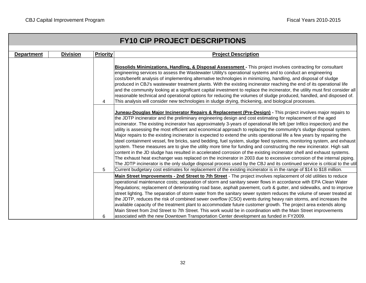|                   |                 |                 | <b>FY10 CIP PROJECT DESCRIPTIONS</b>                                                                                                                                                                                                                                                                                                                                                                                                                                                                                                                                                                                                                                                                                                                                                                                                                                                                                                                                                                                                                                                                                                                                                                                                                                                                                                                                  |
|-------------------|-----------------|-----------------|-----------------------------------------------------------------------------------------------------------------------------------------------------------------------------------------------------------------------------------------------------------------------------------------------------------------------------------------------------------------------------------------------------------------------------------------------------------------------------------------------------------------------------------------------------------------------------------------------------------------------------------------------------------------------------------------------------------------------------------------------------------------------------------------------------------------------------------------------------------------------------------------------------------------------------------------------------------------------------------------------------------------------------------------------------------------------------------------------------------------------------------------------------------------------------------------------------------------------------------------------------------------------------------------------------------------------------------------------------------------------|
|                   |                 |                 |                                                                                                                                                                                                                                                                                                                                                                                                                                                                                                                                                                                                                                                                                                                                                                                                                                                                                                                                                                                                                                                                                                                                                                                                                                                                                                                                                                       |
| <b>Department</b> | <b>Division</b> | <b>Priority</b> | <b>Project Description</b>                                                                                                                                                                                                                                                                                                                                                                                                                                                                                                                                                                                                                                                                                                                                                                                                                                                                                                                                                                                                                                                                                                                                                                                                                                                                                                                                            |
|                   |                 | 4               | Biosolids Minimizations, Handling, & Disposal Assessment - This project involves contracting for consultant<br>engineering services to assess the Wastewater Utility's operational systems and to conduct an engineering<br>costs/benefit analysis of implementing alternative technologies in minimizing, handling, and disposal of sludge<br>produced in CBJ's wastewater treatment plants. With the existing incinerator reaching the end of its operational life<br>and the community looking at a significant capital investment to replace the incinerator, the utility must first consider all<br>reasonable technical and operational options for reducing the volumes of sludge produced, handled, and disposed of.<br>This analysis will consider new technologies in sludge drying, thickening, and biological processes.                                                                                                                                                                                                                                                                                                                                                                                                                                                                                                                                  |
|                   |                 | 5               | Juneau-Douglas Major Incinerator Repairs & Replacement (Pre-Design) - This project involves major repairs to<br>the JDTP incinerator and the preliminary engineering design and cost estimating for replacement of the aged<br>incinerator. The existing incinerator has approximately 3-years of operational life left (per Infilco inspection) and the<br>utility is assessing the most efficient and economical approach to replacing the community's sludge disposal system.<br>Major repairs to the existing incinerator is expected to extend the units operational life a few years by repairing the<br>steel containment vessel, fire bricks, sand bedding, fuel system, sludge feed systems, monitoring system, and exhaust<br>system. These measures are to give the utility more time for funding and constructing the new incinerator. High salt<br>content in the JD sludge has resulted in accelerated corrosion of the existing incinerator shell and exhaust systems.<br>The exhaust heat exchanger was replaced on the incinerator in 2003 due to excessive corrosion of the internal piping.<br>The JDTP incinerator is the only sludge disposal process used by the CBJ and its continued service is critical to the util<br>Current budgetary cost estimates for replacement of the existing incinerator is in the range of \$14 to \$18 million. |
|                   |                 | 6               | Main Street Improvements - 2nd Street to 7th Street - The project involves replacement of old utilities to reduce<br>operational maintenance costs; separation of storm and sanitary sewer flows in accordance with EPA Clean Water<br>Regulations; replacement of deteriorating road base, asphalt pavement, curb & gutter, and sidewalks, and to improve<br>street lighting. The separation of storm water from the sanitary sewer system reduces the volume of sewer treated at<br>the JDTP, reduces the risk of combined sewer overflow (CSO) events during heavy rain storms, and increases the<br>available capacity of the treatment plant to accommodate future customer growth. The project area extends along<br>Main Street from 2nd Street to 7th Street. This work would be in coordination with the Main Street improvements<br>associated with the new Downtown Transportation Center development as funded in FY2009.                                                                                                                                                                                                                                                                                                                                                                                                                                 |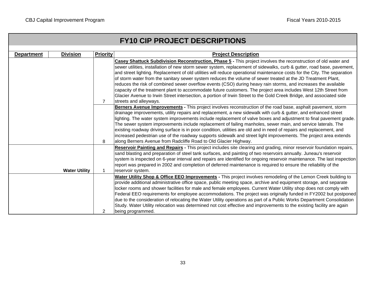|                      |                 |                 | <b>FY10 CIP PROJECT DESCRIPTIONS</b>                                                                                                                                                                                                                                                                                                                                                                                                                                                                                                                                                                                                                                                                                                                                                                                                                                         |
|----------------------|-----------------|-----------------|------------------------------------------------------------------------------------------------------------------------------------------------------------------------------------------------------------------------------------------------------------------------------------------------------------------------------------------------------------------------------------------------------------------------------------------------------------------------------------------------------------------------------------------------------------------------------------------------------------------------------------------------------------------------------------------------------------------------------------------------------------------------------------------------------------------------------------------------------------------------------|
| <b>Department</b>    | <b>Division</b> | <b>Priority</b> | <b>Project Description</b>                                                                                                                                                                                                                                                                                                                                                                                                                                                                                                                                                                                                                                                                                                                                                                                                                                                   |
|                      |                 | $\overline{7}$  | Casey Shattuck Subdivision Reconstruction, Phase 5 - This project involves the reconstruction of old water and<br>sewer utilities, installation of new storm sewer system, replacement of sidewalks, curb & gutter, road base, pavement,<br>and street lighting. Replacement of old utilities will reduce operational maintenance costs for the City. The separation<br>of storm water from the sanitary sewer system reduces the volume of sewer treated at the JD Treatment Plant,<br>reduces the risk of combined sewer overflow events (CSO) during heavy rain storms, and increases the available<br>capacity of the treatment plant to accommodate future customers. The project area includes West 12th Street from<br>Glacier Avenue to Irwin Street intersection, a portion of Irwin Street to the Gold Creek Bridge, and associated side<br>streets and alleyways. |
| <b>Water Utility</b> |                 | 8               | Berners Avenue Improvements - This project involves reconstruction of the road base, asphalt pavement, storm<br>drainage improvements, utility repairs and replacement, a new sidewalk with curb & gutter, and enhanced street<br>lighting. The water system improvements include replacement of valve boxes and adjustment to final pavement grade.<br>The sewer system improvements include replacement of failing manholes, sewer main, and service laterals. The<br>existing roadway driving surface is in poor condition, utilities are old and in need of repairs and replacement, and<br>increased pedestrian use of the roadway supports sidewalk and street light improvements. The project area extends<br>along Berners Avenue from Radcliffe Road to Old Glacier Highway.                                                                                        |
|                      |                 | $\mathbf 1$     | Reservoir Painting and Repairs - This project includes site clearing and grading, minor reservoir foundation repairs,<br>sand blasting and preparation of steel tank surfaces, and painting of two reservoirs annually. Juneau's reservoir<br>system is inspected on 6-year interval and repairs are identified for ongoing reservoir maintenance. The last inspection<br>report was prepared in 2002 and completion of deferred maintenance is required to ensure the reliability of the<br>reservoir system.                                                                                                                                                                                                                                                                                                                                                               |
|                      |                 | 2               | Water Utility Shop & Office EEO Improvements - This project involves remodeling of the Lemon Creek building to<br>provide additional administrative office space, public meeting space, archive and equipment storage, and separate<br>locker rooms and shower facilities for male and female employees. Current Water Utility shop does not comply with<br>Federal EEO requirements for employee accommodations. The project was originally funded in FY2002 but postponed<br>due to the consideration of relocating the Water Utility operations as part of a Public Works Department Consolidation<br>Study. Water Utility relocation was determined not cost effective and improvements to the existing facility are again<br>being programmed.                                                                                                                          |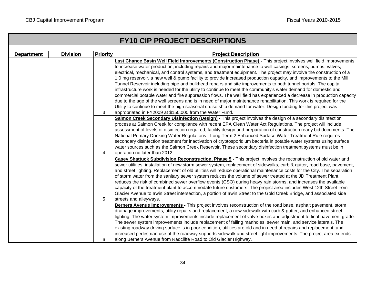| <b>FY10 CIP PROJECT DESCRIPTIONS</b> |                 |                 |                                                                                                                                                                                                                                                                                                                                                                                                                                                                                                                                                                                                                                                                                                                                                                                                                                                                                                                                                                                                                                                                                                                                                     |  |  |  |  |  |  |  |  |
|--------------------------------------|-----------------|-----------------|-----------------------------------------------------------------------------------------------------------------------------------------------------------------------------------------------------------------------------------------------------------------------------------------------------------------------------------------------------------------------------------------------------------------------------------------------------------------------------------------------------------------------------------------------------------------------------------------------------------------------------------------------------------------------------------------------------------------------------------------------------------------------------------------------------------------------------------------------------------------------------------------------------------------------------------------------------------------------------------------------------------------------------------------------------------------------------------------------------------------------------------------------------|--|--|--|--|--|--|--|--|
| <b>Department</b>                    | <b>Division</b> | <b>Priority</b> | <b>Project Description</b>                                                                                                                                                                                                                                                                                                                                                                                                                                                                                                                                                                                                                                                                                                                                                                                                                                                                                                                                                                                                                                                                                                                          |  |  |  |  |  |  |  |  |
|                                      |                 | 3               | Last Chance Basin Well Field Improvements (Construction Phase) - This project involves well field improvements<br>to increase water production, including repairs and major maintenance to well casings, screens, pumps, valves,<br>electrical, mechanical, and control systems, and treatment equipment. The project may involve the construction of a<br>1.0 mg reservoir, a new well & pump facility to provide increased production capacity, and improvements to the Mill<br>Tunnel Reservoir including pipe and bulkhead repairs and site improvements to both tunnel portals. The capital<br>infrastructure work is needed for the utility to continue to meet the community's water demand for domestic and<br>commercial potable water and fire suppression flows. The well field has experienced a decrease in production capacity<br>due to the age of the well screens and is in need of major maintenance rehabilitation. This work is required for the<br>Utility to continue to meet the high seasonal cruise ship demand for water. Design funding for this project was<br>appropriated in FY2009 at \$150,000 from the Water Fund. |  |  |  |  |  |  |  |  |
|                                      |                 | 4               | <b>Salmon Creek Secondary Disinfection (Design)</b> - This project involves the design of a secondary disinfection<br>process at Salmon Creek for compliance with recent EPA Clean Water Act Regulations. The project will include<br>assessment of levels of disinfection required, facility design and preparation of construction ready bid documents. The<br>National Primary Drinking Water Regulations - Long Term 2 Enhanced Surface Water Treatment Rule requires<br>secondary disinfection treatment for inactivation of cryptosporidium bacteria in potable water systems using surface<br>water sources such as the Salmon Creek Reservoir. These secondary disinfection treatment systems must be in<br>operation no later than 2012.                                                                                                                                                                                                                                                                                                                                                                                                   |  |  |  |  |  |  |  |  |
|                                      |                 |                 | Casey Shattuck Subdivision Reconstruction, Phase 5 - This project involves the reconstruction of old water and<br>sewer utilities, installation of new storm sewer system, replacement of sidewalks, curb & gutter, road base, pavement,<br>and street lighting. Replacement of old utilities will reduce operational maintenance costs for the City. The separation<br>of storm water from the sanitary sewer system reduces the volume of sewer treated at the JD Treatment Plant,<br>reduces the risk of combined sewer overflow events (CSO) during heavy rain storms, and increases the available<br>capacity of the treatment plant to accommodate future customers. The project area includes West 12th Street from<br>Glacier Avenue to Irwin Street intersection, a portion of Irwin Street to the Gold Creek Bridge, and associated side<br>streets and alleyways.                                                                                                                                                                                                                                                                        |  |  |  |  |  |  |  |  |
|                                      |                 | 6               | Berners Avenue Improvements - This project involves reconstruction of the road base, asphalt pavement, storm<br>drainage improvements, utility repairs and replacement, a new sidewalk with curb & gutter, and enhanced street<br>lighting. The water system improvements include replacement of valve boxes and adjustment to final pavement grade.<br>The sewer system improvements include replacement of failing manholes, sewer main, and service laterals. The<br>existing roadway driving surface is in poor condition, utilities are old and in need of repairs and replacement, and<br>increased pedestrian use of the roadway supports sidewalk and street light improvements. The project area extends<br>along Berners Avenue from Radcliffe Road to Old Glacier Highway.                                                                                                                                                                                                                                                                                                                                                               |  |  |  |  |  |  |  |  |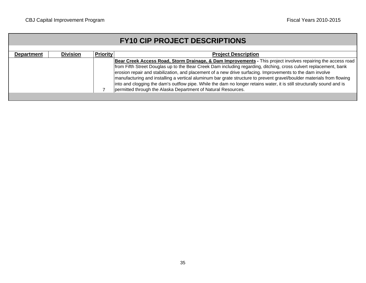|                   | <b>FY10 CIP PROJECT DESCRIPTIONS</b> |                 |                                                                                                                                                                                                                                                                                                                                                                                                                                                                                                                                                                                                                                                                    |  |  |  |  |  |  |  |  |  |
|-------------------|--------------------------------------|-----------------|--------------------------------------------------------------------------------------------------------------------------------------------------------------------------------------------------------------------------------------------------------------------------------------------------------------------------------------------------------------------------------------------------------------------------------------------------------------------------------------------------------------------------------------------------------------------------------------------------------------------------------------------------------------------|--|--|--|--|--|--|--|--|--|
| <b>Department</b> | <b>Division</b>                      | <b>Priority</b> | <b>Project Description</b>                                                                                                                                                                                                                                                                                                                                                                                                                                                                                                                                                                                                                                         |  |  |  |  |  |  |  |  |  |
|                   |                                      |                 | Bear Creek Access Road, Storm Drainage, & Dam Improvements - This project involves repairing the access road<br>from Fifth Street Douglas up to the Bear Creek Dam including regarding, ditching, cross culvert replacement, bank<br>erosion repair and stabilization, and placement of a new drive surfacing. Improvements to the dam involve<br>manufacturing and installing a vertical aluminum bar grate structure to prevent gravel/boulder materials from flowing<br>into and clogging the dam's outflow pipe. While the dam no longer retains water, it is still structurally sound and is<br>permitted through the Alaska Department of Natural Resources. |  |  |  |  |  |  |  |  |  |
|                   |                                      |                 |                                                                                                                                                                                                                                                                                                                                                                                                                                                                                                                                                                                                                                                                    |  |  |  |  |  |  |  |  |  |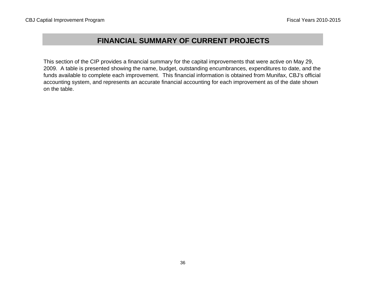# **FINANCIAL SUMMARY OF CURRENT PROJECTS**

This section of the CIP provides a financial summary for the capital improvements that were active on May 29, 2009. A table is presented showing the name, budget, outstanding encumbrances, expenditures to date, and the funds available to complete each improvement. This financial information is obtained from Munifax, CBJ's official accounting system, and represents an accurate financial accounting for each improvement as of the date shown on the table.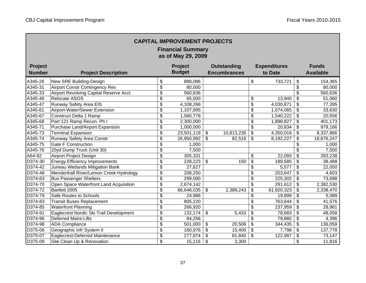| <b>CAPITAL IMPROVEMENT PROJECTS</b><br><b>Financial Summary</b><br>as of May 29, 2009 |                                         |                                      |               |                          |                     |                          |                     |                           |                  |  |
|---------------------------------------------------------------------------------------|-----------------------------------------|--------------------------------------|---------------|--------------------------|---------------------|--------------------------|---------------------|---------------------------|------------------|--|
| <b>Project</b>                                                                        |                                         |                                      | Project       |                          | <b>Outstanding</b>  |                          | <b>Expenditures</b> |                           | <b>Funds</b>     |  |
| <b>Number</b>                                                                         | <b>Project Description</b>              |                                      | <b>Budget</b> |                          | <b>Encumbrances</b> |                          | to Date             |                           | <b>Available</b> |  |
| A345-26                                                                               | New SRE Building-Design                 | \$                                   | 888,086       |                          |                     | \$                       | 733,721             | \$                        | 154,365          |  |
| A345-31                                                                               | <b>Airport Constr Contingency Res</b>   | \$                                   | 80,000        |                          |                     |                          |                     | \$                        | 80,000           |  |
| A345-33                                                                               | Airport Revolving Capital Reserve Acct  | $\frac{1}{2}$                        | 560,636       |                          |                     |                          |                     | \$                        | 560,636          |  |
| A345-46                                                                               | Relocate ASOS                           | \$                                   | 65,000        |                          |                     | \$                       | 13,940              | \$                        | 51,060           |  |
| A345-47                                                                               | Runway Safety Area EIS                  | \$                                   | 4,108,266     |                          |                     | \$                       | 4,030,871           | \$                        | 77,395           |  |
| A345-61                                                                               | Airport-Water/Sewer Extension           | \$                                   | 1,107,695     |                          |                     | $\overline{\mathcal{G}}$ | 1,074,065           | $\overline{\mathbf{S}}$   | 33,630           |  |
| A345-67                                                                               | Construct Delta 1 Ramp                  | \$                                   | 1,560,778     |                          |                     | $\overline{\mathcal{G}}$ | 1,540,222           | $\overline{\mathbf{S}}$   | 20,556           |  |
| A345-68                                                                               | Part 121 Ramp Recon. Ph I               | \$                                   | 2,300,000     |                          |                     | \$                       | 1,898,827           | \$                        | 401,173          |  |
| A345-71                                                                               | Purchase Land/Airport Expansion         | $\overline{\mathcal{S}}$             | 1,000,000     |                          |                     | $\overline{\mathcal{S}}$ | 20,834              | \$                        | 979,166          |  |
| A345-73                                                                               | <b>Terminal Expansion</b>               | $\overline{\mathfrak{s}}$            | 23,501,118    | \$                       | 10,813,235          | \$                       | 4,350,016           | \$                        | 8,337,866        |  |
| A345-74                                                                               | Runway Safety Area Constr               | $\overline{\boldsymbol{\theta}}$     | 26,950,992    | \$                       | 82,518              | \$                       | 8,192,227           | \$                        | 18,676,247       |  |
| A345-75                                                                               | <b>Gate F Construction</b>              | $\frac{1}{2}$                        | 1,000         |                          |                     |                          |                     | \$                        | 1,000            |  |
| A345-76                                                                               | 20yd Dump Truck (Unit 30)               | $\overline{\boldsymbol{\mathsf{s}}}$ | 7,500         |                          |                     |                          |                     | \$                        | 7,500            |  |
| A64-92                                                                                | Airport Project Design                  | $\overline{\boldsymbol{\mathsf{s}}}$ | 305,331       |                          |                     | \$                       | 22,093              | \$                        | 283,238          |  |
| D374-30                                                                               | <b>Energy Efficiency Improvements</b>   | $\overline{\$}$                      | 228,223       | \$                       | 150                 | \$                       | 189,585             | $\overline{\mathbf{3}}$   | 38,488           |  |
| D374-42                                                                               | Juneau Wetlands Mitigation Bank         | \$                                   | 27,627        |                          |                     | \$                       | 5,577               | \$                        | 22,050           |  |
| D374-48                                                                               | Mendenhall River/Lemon Creek Hydrology  | \$                                   | 208,250       |                          |                     | \$                       | 203,647             | \$                        | 4,603            |  |
| D374-63                                                                               | <b>Bus Passenger Shelters</b>           | \$                                   | 299,000       |                          |                     | \$                       | 225,302             | \$                        | 73,698           |  |
| D374-70                                                                               | Open Space Waterfront Land Acquisition  | $\overline{\mathbf{S}}$              | 2,674,142     |                          |                     | \$                       | 291,612             | \$                        | 2,382,530        |  |
| D374-72                                                                               | Bartlett 2005                           | $\overline{\mathbf{S}}$              | 66,648,035    | \$                       | 2,389,243           | \$                       | 61,920,323          | \$                        | 2,338,470        |  |
| D374-79                                                                               | Safe Routes to Schools                  | \$                                   | 24,988        |                          |                     | \$                       | 19,899              | \$                        | 5,089            |  |
| D374-83                                                                               | <b>Transit Buses Replacement</b>        | \$                                   | 805,220       |                          |                     | \$                       | 763,644             | \$                        | 41,576           |  |
| D374-85                                                                               | <b>Waterfront Planning</b>              | $\frac{1}{2}$                        | 266,920       |                          |                     | \$                       | 237,959             | \$                        | 28,961           |  |
| D374-91                                                                               | Eaglecrest Nordic Ski Trail Development | \$                                   | 132,174       | \$                       | 5,433               | \$                       | 78,683              | \$                        | 48,058           |  |
| D374-96                                                                               | <b>Deferred Maint-Lifts</b>             | \$                                   | 84,256        |                          |                     | \$                       | 79,860              | \$                        | 4,396            |  |
| D374-98                                                                               | <b>ADA Compliance</b>                   | \$                                   | 501,000       | \$                       | 20,506              | \$                       | 344,435             | \$                        | 136,059          |  |
| D375-06                                                                               | Geographic Infr System II               | \$                                   | 160,976       | \$                       | 15,400              | \$                       | 7,798               | $\boldsymbol{\mathsf{S}}$ | 137,778          |  |
| D375-07                                                                               | Eaglecrest-Deferred Maintenance         | $\overline{\boldsymbol{\theta}}$     | 277,974       | \$                       | 81,840              | \$                       | 122,987             | \$                        | 73,147           |  |
| D375-09                                                                               | Site Clean Up & Renovation              | $\overline{\mathcal{L}}$             | 15,116        | $\overline{\mathcal{S}}$ | 3,300               |                          |                     | \$                        | 11,816           |  |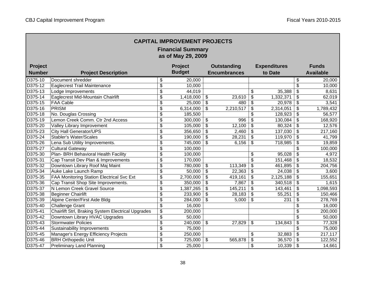| <b>CAPITAL IMPROVEMENT PROJECTS</b><br><b>Financial Summary</b><br>as of May 29, 2009 |                                                    |                                  |                |                           |                     |    |                     |                           |                  |
|---------------------------------------------------------------------------------------|----------------------------------------------------|----------------------------------|----------------|---------------------------|---------------------|----|---------------------|---------------------------|------------------|
| Project                                                                               |                                                    |                                  | <b>Project</b> |                           | <b>Outstanding</b>  |    | <b>Expenditures</b> |                           | <b>Funds</b>     |
| <b>Number</b>                                                                         | <b>Project Description</b>                         |                                  | <b>Budget</b>  |                           | <b>Encumbrances</b> |    | to Date             |                           | <b>Available</b> |
| D375-10                                                                               | Document shredder                                  | \$                               | 20,000         |                           |                     |    |                     | \$                        | 20,000           |
| D375-12                                                                               | Eaglecrest Trail Maintenance                       | \$                               | 10,000         |                           |                     |    |                     | \$                        | 10,000           |
| D375-13                                                                               | Lodge Improvements                                 | \$                               | 44,019         |                           |                     | \$ | 35,388              | \$                        | 8,631            |
| D375-14                                                                               | Eaglecrest Mid-Mountain Chairlift                  | \$                               | 1,418,000      | \$                        | 23,610              | \$ | 1,332,371           | \$                        | 62,019           |
| D375-15                                                                               | <b>FAA Cable</b>                                   | \$                               | 25,000         | $\boldsymbol{\mathsf{S}}$ | 480                 | \$ | 20,978              | $\boldsymbol{\mathsf{S}}$ | 3,541            |
| D375-16                                                                               | PRISM                                              | \$                               | 6,314,000      | \$                        | 2,210,517           | \$ | 2,314,051           | \$                        | 1,789,432        |
| D375-18                                                                               | No. Douglas Crossing                               | \$                               | 185,500        |                           |                     | s  | 128,923             | \$                        | 56,577           |
| D375-19                                                                               | Lemon Creek Comm. Ctr 2nd Access                   | \$                               | 300,000        | \$                        | 996                 | \$ | 130,084             | \$                        | 168,920          |
| D375-20                                                                               | Valley Library Improvement                         | $\overline{\mathbf{S}}$          | 105,000        | $\overline{\mathbf{e}}$   | 12,100              | \$ | 80,324              | $\overline{\mathbf{S}}$   | 12,576           |
| D375-23                                                                               | <b>City Hall Generator/UPS</b>                     | $\overline{\mathbf{S}}$          | 356,650        | \$                        | 2,460               | \$ | 137,030             | $\overline{\mathbf{s}}$   | 217,160          |
| D375-24                                                                               | <b>Stabler's Water/Scales</b>                      | $\overline{\mathbf{S}}$          | 190,000        | $\overline{\mathbf{e}}$   | 28,231              | \$ | 119,970             | $\overline{\mathbf{s}}$   | 41,799           |
| D375-26                                                                               | Lena Sub Utility Improvements.                     | \$                               | 745,000        | \$                        | 6,156               | \$ | 718,985             | $\overline{\mathbf{S}}$   | 19,859           |
| D375-27                                                                               | <b>Cultural Gateway</b>                            | \$                               | 100,000        |                           |                     |    |                     | \$                        | 100,000          |
| D375-30                                                                               | Plan- BRH Behavioral Health Facility               | $\overline{\mathbf{S}}$          | 100,000        |                           |                     | \$ | 95,028              | $\overline{\mathcal{L}}$  | 4,972            |
| D375-31                                                                               | Cap Transit Dev Plan & Improvements                | $\overline{\mathbf{S}}$          | 170,000        |                           |                     | \$ | 151,468             | $\overline{\mathbf{S}}$   | 18,532           |
| D375-32                                                                               | Downtown Library Roof Maj Maint                    | $\overline{\mathcal{S}}$         | 780,000        | \$                        | 113,349             | \$ | 461,895             | \$                        | 204,756          |
| D375-34                                                                               | Auke Lake Launch Ramp                              | \$                               | 50,000         | $\boldsymbol{\theta}$     | 22,363              | \$ | 24,038              | \$                        | 3,600            |
| D375-35                                                                               | FAA Monitoring Station Electrical Svc Ext          | \$                               | 2,700,000      | $\boldsymbol{\mathsf{S}}$ | 419,161             | \$ | 2,125,188           | \$                        | 155,651          |
| D375-36                                                                               | Cap Transit Shop Site Improvements.                | \$                               | 350,000        | \$                        | 7,867               | \$ | 340,518             | \$                        | 1,615            |
| D375-37                                                                               | N Lemon Creek Gravel Source                        | $\overline{\mathbf{S}}$          | 1,387,265      | \$                        | 145,211             | \$ | 143,461             | \$                        | 1,098,593        |
| D375-38                                                                               | <b>Beginner Chairlift</b>                          | $\overline{\mathbf{S}}$          | 233,900        | $\boldsymbol{\mathsf{S}}$ | 28,183              | \$ | 55,251              | \$                        | 150,466          |
| D375-39                                                                               | Alpine Center/First Aide Bldg                      | \$                               | 284,000        | $\boldsymbol{\mathsf{S}}$ | 5,000               | \$ | 231                 | \$                        | 278,769          |
| D375-40                                                                               | <b>Challenge Grant</b>                             | $\overline{\mathfrak{s}}$        | 16,000         |                           |                     |    |                     | \$                        | 16,000           |
| D375-41                                                                               | Chairlift Strl, Braking System Electrical Upgrades | $\boldsymbol{\theta}$            | 200,000        |                           |                     |    |                     | \$                        | 200,000          |
| D375-42                                                                               | Downtown Library HVAC Upgrades                     | $\boldsymbol{\theta}$            | 50,000         |                           |                     |    |                     | \$                        | 50,000           |
| D375-43                                                                               | <b>Stormwater Policies</b>                         | $\overline{\mathfrak{s}}$        | 240,000        | \$                        | 27,829              | \$ | 134,843             | \$                        | 77,328           |
| D375-44                                                                               | <b>Sustainability Improvements</b>                 | $\overline{\mathbf{S}}$          | 75,000         |                           |                     |    |                     | \$                        | 75,000           |
| D375-45                                                                               | Manager's Energy Efficiency Projects               | $\overline{\boldsymbol{\theta}}$ | 250,000        |                           |                     | \$ | 32,883              | \$                        | 217,117          |
| D375-46                                                                               | <b>BRH Orthopedic Unit</b>                         | $\overline{\mathbf{S}}$          | 725,000        | \$                        | 565,878             | \$ | 36,570              | \$                        | 122,552          |
| D375-47                                                                               | <b>Preliminary Land Planning</b>                   | $\overline{\mathcal{S}}$         | 25,000         |                           |                     | \$ | 10,339              | \$                        | 14,661           |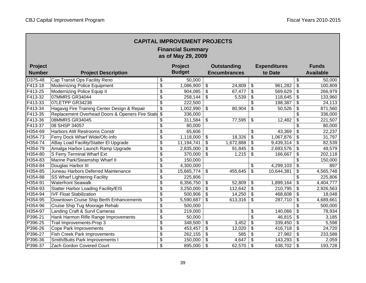| <b>CAPITAL IMPROVEMENT PROJECTS</b><br><b>Financial Summary</b><br>as of May 29, 2009 |                                                     |                                  |               |                           |                     |    |                     |                           |                  |  |
|---------------------------------------------------------------------------------------|-----------------------------------------------------|----------------------------------|---------------|---------------------------|---------------------|----|---------------------|---------------------------|------------------|--|
| Project                                                                               |                                                     |                                  | Project       |                           | <b>Outstanding</b>  |    | <b>Expenditures</b> |                           | <b>Funds</b>     |  |
| <b>Number</b>                                                                         | <b>Project Description</b>                          |                                  | <b>Budget</b> |                           | <b>Encumbrances</b> |    | to Date             |                           | <b>Available</b> |  |
| D375-48                                                                               | Cap Transit Ops Facility Reno                       | \$                               | 50,000        |                           |                     |    |                     | \$                        | 50,000           |  |
| F413-18                                                                               | <b>Modernizing Police Equipment</b>                 | \$                               | 1,086,900     | \$                        | 24,809              | \$ | 961,282             | \$                        | 100,809          |  |
| F413-25                                                                               | Modernizing Police Equip II                         | \$                               | 904,085       | \$                        | 67,477              | \$ | 569,629             | \$                        | 266,979          |  |
| F413-32                                                                               | 07MMRS GR34044                                      | \$                               | 258,144       | \$                        | 5,539               | \$ | 118,645             | \$                        | 133,960          |  |
| F413-33                                                                               | 07LETPP GR34238                                     | \$                               | 222,500       |                           |                     | \$ | 198,387             | $\boldsymbol{\mathsf{S}}$ | 24,113           |  |
| F413-34                                                                               | Hagavig Fire Training Center Design & Repair        | \$                               | 1,002,990     | \$                        | 80,904              | \$ | 50,526              | $\boldsymbol{\mathsf{S}}$ | 871,560          |  |
| F413-35                                                                               | Replacement Overhead Doors & Openers Fire Statio \$ |                                  | 336,000       |                           |                     |    |                     | \$                        | 336,000          |  |
| F413-36                                                                               | 08MMRS GR34045                                      | \$                               | 311,584       | \$                        | 77,595              | \$ | 12,482              | \$                        | 221,507          |  |
| F413-37                                                                               | 08 SHSP 34057                                       | \$                               | 80,000        |                           |                     |    |                     | $\overline{\mathbb{S}}$   | 80,000           |  |
| H354-69                                                                               | <b>Harbors AW Restrooms Constr</b>                  | \$                               | 65,606        |                           |                     | \$ | 43,369              | $\overline{\mathbf{s}}$   | 22,237           |  |
| H354-73                                                                               | Ferry Dock Wharf Wide/Ofc-Info                      | \$                               | 1,118,000     | \$                        | 18,326              | \$ | 1,067,876           | \$                        | 31,797           |  |
| H354-74                                                                               | ABay Load Facility/Statter El Upgrade               | \$                               | 11,194,741    | $\overline{\mathcal{S}}$  | 1,672,888           | \$ | 9,439,314           | \$                        | 82,539           |  |
| H354-79                                                                               | Amalga Harbor Launch Ramp Upgrade                   | \$                               | 2,835,000     | \$                        | 91,845              | \$ | 2,693,576           | \$                        | 49,579           |  |
| H354-80                                                                               | S Ferry Terminal Wharf Ext                          | \$                               | 370,000       | $\overline{\$}$           | 1,215               | \$ | 166,667             | $\overline{\mathbf{e}}$   | 202,118          |  |
| H354-83                                                                               | Marine Park/Steamship Wharf II                      | \$                               | 150,000       |                           |                     |    |                     | $\overline{\mathcal{S}}$  | 150,000          |  |
| H354-84                                                                               | Douglas Harbor III                                  | \$                               | 4,300,000     |                           |                     | \$ | 4,299,103           | \$                        | 897              |  |
| H354-85                                                                               | Juneau Harbors Deferred Maintenance                 | \$                               | 15,665,774    | \$                        | 455,645             | \$ | 10,644,381          | \$                        | 4,565,748        |  |
| H354-88                                                                               | SS Wharf Lightering Facility                        | \$                               | 225,806       |                           |                     |    |                     | \$                        | 225,806          |  |
| H354-91                                                                               | Waterfront Seawalk                                  | \$                               | 6,356,750     | \$                        | 52,809              | \$ | 1,899,164           | \$                        | 4,404,777        |  |
| H354-93                                                                               | <b>Statter Harbor Loading Facility/EIS</b>          | \$                               | 3,250,000     | \$                        | 112,642             | \$ | 210,795             | \$                        | 2,926,563        |  |
| H354-94                                                                               | <b>IVF Float Stabilization</b>                      | \$                               | 500,906       | \$                        | 14,250              | \$ | 468,608             | \$                        | 18,048           |  |
| H354-95                                                                               | Downtown Cruise Ship Berth Enhancements             | \$                               | 5,590,687     | \$                        | 613,316             | \$ | 287,710             | \$                        | 4,689,661        |  |
| H354-96                                                                               | Cruise Ship Tug Moorage Rehab                       | \$                               | 500,000       |                           |                     |    |                     | \$                        | 500,000          |  |
| H354-97                                                                               | Landing Craft & Survl Cameras                       | \$                               | 219,000       |                           |                     | \$ | 140,066             | \$                        | 78,934           |  |
| P396-21                                                                               | Hank Harmon Rifle Range Improvements                | \$                               | 50,000        |                           |                     | \$ | 46,815              | \$                        | 3,185            |  |
| P396-25                                                                               | Trail Improvements-Prop 3                           | \$                               | 348,500       | \$                        | 3,452               | \$ | 339,450             | \$                        | 5,598            |  |
| P396-26                                                                               | <b>Cope Park Improvements</b>                       | $\overline{\mathfrak{s}}$        | 453,457       | $\overline{\mathbf{S}}$   | 12,020              | \$ | 416,718             | \$                        | 24,720           |  |
| P396-27                                                                               | Fish Creek Park Improvements                        | $\overline{\boldsymbol{\theta}}$ | 262,155       | $\overline{\mathbf{S}}$   | 585                 | \$ | 27,982              | $\boldsymbol{\mathsf{S}}$ | 233,588          |  |
| P396-36                                                                               | Smith/Butts Park Improvements I                     | $\overline{\boldsymbol{\theta}}$ | 150,000       | $\overline{\mathfrak{s}}$ | 4,647               | \$ | 143,293             | \$                        | 2,059            |  |
| P396-37                                                                               | Zach Gordon Covered Court                           | $\overline{\mathcal{S}}$         | 895,000       | \$                        | 62,570              | \$ | 638,702             | \$                        | 193,728          |  |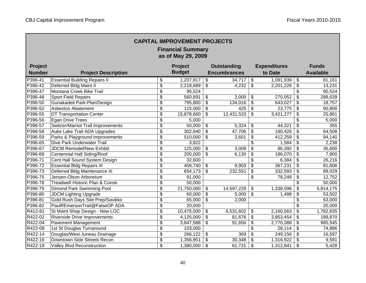| <b>CAPITAL IMPROVEMENT PROJECTS</b><br><b>Financial Summary</b><br>as of May 29, 2009 |                                           |                                      |               |                            |                     |                            |                     |                                  |                  |  |
|---------------------------------------------------------------------------------------|-------------------------------------------|--------------------------------------|---------------|----------------------------|---------------------|----------------------------|---------------------|----------------------------------|------------------|--|
| Project                                                                               |                                           |                                      | Project       |                            | <b>Outstanding</b>  |                            | <b>Expenditures</b> |                                  | <b>Funds</b>     |  |
| <b>Number</b>                                                                         | <b>Project Description</b>                |                                      | <b>Budget</b> |                            | <b>Encumbrances</b> |                            | to Date             |                                  | <b>Available</b> |  |
| P396-41                                                                               | <b>Essential Building Repairs II</b>      | \$                                   | 1,207,817     | \$                         | 34,717              | $\boldsymbol{\mathsf{S}}$  | 1,091,939           | $\overline{\mathfrak{s}}$        | 81,161           |  |
| P396-42                                                                               | Deferred Bldg Maint II                    | \$                                   | 2,218,689     | \$                         | 4,232               | $\$\$                      | 2,201,226           | $\boldsymbol{\mathsf{S}}$        | 13,231           |  |
| P396-47                                                                               | Montana Creek Bike Trail                  | \$                                   | 90,524        |                            |                     |                            |                     | \$                               | 90,524           |  |
| P396-48                                                                               | <b>Sport Field Repairs</b>                | \$                                   | 560,691       | \$                         | 2,000               | \$                         | 270,052             | \$                               | 288,639          |  |
| P396-50                                                                               | Gunakadeit Park-Plan/Design               | $\overline{\mathfrak{s}}$            | 795,800       | $\overline{\mathbf{e}}$    | 134,016             | $\boldsymbol{\mathsf{\$}}$ | 643,027             | \$                               | 18,757           |  |
| P396-52                                                                               | Asbestos Abatement                        | \$                                   | 115,000       | \$                         | 425                 | $\boldsymbol{\mathsf{S}}$  | 23,775              | \$                               | 90,800           |  |
| P396-55                                                                               | DT Transportation Center                  | $\overline{\mathbf{S}}$              | 15,878,660    | $\overline{\mathcal{S}}$   | 12,431,523          | \$                         | 3,421,277           | $\overline{\boldsymbol{\theta}}$ | 25,861           |  |
| P396-56                                                                               | <b>Egan Drive Trees</b>                   | $\overline{\boldsymbol{\mathsf{s}}}$ | 5,000         |                            |                     |                            |                     | \$                               | 5,000            |  |
| P396-57                                                                               | <b>Switzer/Marriot Trail Improvements</b> | $\overline{\$}$                      | 50,000        | \$                         | 5,324               | \$                         | 44,321              | $\overline{\$}$                  | 355              |  |
| P396-58                                                                               | Auke Lake Trail ADA Upgrades              | $\overline{\$}$                      | 302,640       | $\overline{\mathbf{e}}$    | 47,706              | $\overline{\mathbf{e}}$    | 190,426             | $\overline{\mathbf{3}}$          | 64,508           |  |
| P396-59                                                                               | Parks & Playground Improvements           | $\overline{\$}$                      | 510,000       | $\overline{\$}$            | 3,601               | \$                         | 412,259             | $\overline{\mathbf{e}}$          | 94,140           |  |
| P396-65                                                                               | Dive Park Underwater Trail                | $\overline{\mathbf{S}}$              | 3,822         |                            |                     | \$                         | 1,584               | $\overline{\mathbf{e}}$          | 2,238            |  |
| P396-67                                                                               | <b>JDCM Remodel/New Exhibit</b>           | $\overline{\mathbf{S}}$              | 125,000       | \$                         | 3,008               | \$                         | 86,392              | $\overline{\mathcal{S}}$         | 35,600           |  |
| P396-69                                                                               | Centennial Hall Siding/Roof               | $\overline{\$}$                      | 200,000       | $\overline{\$}$            | 6,130               | \$                         | 186,070             | $\overline{\mathcal{S}}$         | 7,800            |  |
| P396-71                                                                               | Cent Hall Sound System Design             | $\overline{\mathcal{S}}$             | 32,600        |                            |                     | \$                         | 6,384               | $\overline{\mathbf{e}}$          | 26,216           |  |
| P396-72                                                                               | <b>Essential Bldg Repairs III</b>         | $\overline{\mathcal{S}}$             | 458,740       | \$                         | 9,903               | \$                         | 367,231             | $\overline{\mathbf{e}}$          | 81,606           |  |
| P396-73                                                                               | Deferred Bldg Maintenance III             | \$                                   | 654,173       | $\boldsymbol{\mathsf{S}}$  | 232,551             | \$                         | 332,593             | \$                               | 89,029           |  |
| P396-75                                                                               | Jensen-Olson Arboretum                    | $\overline{\mathbf{S}}$              | 91,000        |                            |                     | \$                         | 78,248              | $\overline{\mathbf{S}}$          | 12,752           |  |
| P396-78                                                                               | Treadwell Historic Plan & Constr          | $\overline{\mathbf{S}}$              | 50,000        |                            |                     |                            |                     | \$                               | 50,000           |  |
| P396-79                                                                               | Dimond Park Swimming Pool                 | \$                                   | 21,750,000    | \$                         | 14,597,228          | \$                         | 1,338,596           | \$                               | 5,814,175        |  |
| P396-80                                                                               | <b>JDCM Lighting Upgrade</b>              | $\overline{\mathfrak{s}}$            | 60,000        | $\boldsymbol{\mathsf{S}}$  | 5,000               | $\boldsymbol{\mathsf{S}}$  | 1,498               | \$                               | 53,502           |  |
| P396-81                                                                               | Gold Rush Days Site Prep/Savikko          | $\overline{\mathbf{S}}$              | 65,000        | $\boldsymbol{\mathsf{S}}$  | 2,000               |                            |                     | \$                               | 63,000           |  |
| P396-82                                                                               | PaulREmersonTrail@FalseOP ADA             | $\overline{\boldsymbol{\theta}}$     | 20,000        |                            |                     |                            |                     | \$                               | 20,000           |  |
| R412-81                                                                               | St Maint Shop Design - New LOC            | $\overline{\boldsymbol{\theta}}$     | 10,475,000    | \$                         | 6,531,602           | $\$\$                      | 2,160,563           | \$                               | 1,782,835        |  |
| R422-02                                                                               | <b>Riverside Drive Improvements</b>       | $\overline{\boldsymbol{\theta}}$     | 4,125,000     | $\boldsymbol{\mathsf{\$}}$ | 81,676              | $\boldsymbol{\mathsf{\$}}$ | 3,853,454           | \$                               | 189,870          |  |
| R422-04                                                                               | <b>Pavement Management</b>                | $\overline{\boldsymbol{\mathsf{s}}}$ | 3,847,588     | $\boldsymbol{\mathsf{S}}$  | 91,656              | $\overline{\$}$            | 2,770,388           | $\boldsymbol{\mathsf{S}}$        | 985,545          |  |
| R422-08                                                                               | 1st St Douglas Turnaround                 | $\overline{\$}$                      | 103,000       |                            |                     | \$                         | 28,114              | \$                               | 74,886           |  |
| R422-14                                                                               | Douglas/West Juneau Drainage              | $\overline{\boldsymbol{\theta}}$     | 266,122       | \$                         | 369                 | \$                         | 249,156             | \$                               | 16,597           |  |
| R422-16                                                                               | Downtown Side Streets Recon               | $\overline{\$}$                      | 1,356,851     | $\overline{\mathbf{e}}$    | 30,348              | \$                         | 1,316,922           | \$                               | 9,581            |  |
| R422-19                                                                               | <b>Valley Blvd Reconstruction</b>         | $\overline{\mathcal{S}}$             | 1,380,000     | $\mathfrak{S}$             | 61,731              | $\sqrt[6]{\frac{1}{2}}$    | 1,312,841           | \$                               | 5,428            |  |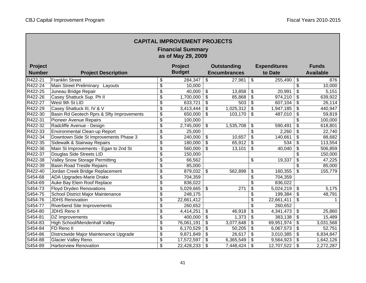| <b>CAPITAL IMPROVEMENT PROJECTS</b><br><b>Financial Summary</b><br>as of May 29, 2009 |                                           |                                      |               |                           |                     |                         |                     |                            |                  |
|---------------------------------------------------------------------------------------|-------------------------------------------|--------------------------------------|---------------|---------------------------|---------------------|-------------------------|---------------------|----------------------------|------------------|
| Project                                                                               |                                           |                                      | Project       |                           | <b>Outstanding</b>  |                         | <b>Expenditures</b> |                            | <b>Funds</b>     |
| <b>Number</b>                                                                         | <b>Project Description</b>                |                                      | <b>Budget</b> |                           | <b>Encumbrances</b> |                         | to Date             |                            | <b>Available</b> |
| R422-21                                                                               | <b>Franklin Street</b>                    | \$                                   | 284,347       | $\overline{\mathfrak{s}}$ | 27,981              | \$                      | 255,490             | $\overline{\mathcal{S}}$   | 876              |
| R422-24                                                                               | Main Street Preliminary Layouts           | $\frac{1}{2}$                        | 10,000        |                           |                     |                         |                     | $\boldsymbol{\mathsf{S}}$  | 10,000           |
| R422-25                                                                               | Juneau Bridge Repair                      | $\frac{1}{2}$                        | 40,000        | \$                        | 13,858              | \$                      | 20,991              | \$                         | 5,151            |
| R422-26                                                                               | Casey Shattuck Sup. Ph II                 | \$                                   | 1,700,000     | \$                        | 85,868              | \$                      | 974,210             | \$                         | 639,922          |
| R422-27                                                                               | West 9th St LID                           | \$                                   | 633,721       | \$                        | 503                 | \$                      | 607,104             | $\boldsymbol{\mathsf{S}}$  | 26,114           |
| R422-29                                                                               | Casey Shattuck III, IV & V                | \$                                   | 3,413,444     | \$                        | 1,025,312           | \$                      | 1,947,185           | $\boldsymbol{\theta}$      | 440,947          |
| R422-30                                                                               | Basin Rd Geotech Rprs & Sfty Improvements | \$                                   | 650,000       | \$                        | 103,170             | \$                      | 487,010             | $\boldsymbol{\mathsf{S}}$  | 59,819           |
| R422-31                                                                               | <b>Pioneer Avenue Repairs</b>             | $\frac{1}{2}$                        | 100,000       |                           |                     |                         |                     | \$                         | 100,000          |
| R422-32                                                                               | Radcliffe Avenue - Design                 | \$                                   | 2,745,000     | \$                        | 1,535,708           | \$                      | 590,491             | \$                         | 618,801          |
| R422-33                                                                               | <b>Environmental Clean-up Report</b>      | \$                                   | 25,000        |                           |                     | $\overline{\mathbf{3}}$ | 2,260               | $\boldsymbol{\mathsf{S}}$  | 22,740           |
| R422-34                                                                               | Downtown Side St Improvements Phase 3     | \$                                   | 240,000       | \$                        | 10,657              | \$                      | 140,661             | \$                         | 88,682           |
| R422-35                                                                               | Sidewalk & Stairway Repairs               | $\overline{\boldsymbol{\theta}}$     | 180,000       | \$                        | 65,912              | \$                      | 534                 | \$                         | 113,554          |
| R422-36                                                                               | Main St Improvements - Egan to 2nd St     | \$                                   | 560,000       | \$                        | 13,101              | \$                      | 40,040              | \$                         | 506,859          |
| R422-37                                                                               | Douglas Side Streets LID                  | $\overline{\$}$                      | 150,000       |                           |                     |                         |                     | \$                         | 150,000          |
| R422-38                                                                               | <b>Valley Snow Storage Permitting</b>     | $\overline{\mathcal{S}}$             | 66,562        |                           |                     | \$                      | 19,337              | \$                         | 47,225           |
| R422-39                                                                               | <b>Basin Road Trestle Repairs</b>         | $\overline{\mathcal{S}}$             | 85,000        |                           |                     |                         |                     |                            | 85,000           |
| R422-40                                                                               | Jordan Creek Bridge Replacement           | \$                                   | 879,032       | \$                        | 562,898             | \$                      | 160,355             | $\boldsymbol{\mathsf{S}}$  | 155,779          |
| S454-68                                                                               | ADA Upgrades-Marie Drake                  | \$                                   | 704,359       |                           |                     | \$                      | 704,359             |                            |                  |
| S454-69                                                                               | Auke Bay Elem Roof Replace                | $\overline{\mathcal{S}}$             | 836,022       |                           |                     | \$                      | 836,022             |                            |                  |
| S454-73                                                                               | <b>Floyd Dryden Renovations</b>           | $\overline{\boldsymbol{\theta}}$     | 5,029,665     | \$                        | 271                 | \$                      | 5,024,219           | \$                         | 5,175            |
| S454-75                                                                               | School District Major Maintenance         | $\overline{\boldsymbol{\mathsf{s}}}$ | 248,175       |                           |                     | \$                      | 199,384             | $\boldsymbol{\mathsf{S}}$  | 48,791           |
| S454-76                                                                               | <b>JDHS Renovation</b>                    | $\overline{\boldsymbol{\mathsf{s}}}$ | 22,661,412    |                           |                     | \$                      | 22,661,411          | $\boldsymbol{\mathsf{\$}}$ | 1                |
| S454-77                                                                               | <b>Riverbend Site Improvements</b>        | $\overline{\boldsymbol{\mathsf{s}}}$ | 260,652       |                           |                     | \$                      | 260,652             |                            |                  |
| S454-80                                                                               | JDHS Reno II                              | $\overline{\boldsymbol{\mathsf{s}}}$ | 4,414,251     | \$                        | 46,918              | \$                      | 4,341,473           | \$                         | 25,860           |
| S454-81                                                                               | DZ Improvements                           | \$                                   | 400,000       | \$                        | 1,373               | \$                      | 383,138             | $\boldsymbol{\mathsf{S}}$  | 15,489           |
| S454-83                                                                               | High School/Mendenhall Valley             | $\overline{\boldsymbol{\mathsf{s}}}$ | 76,061,191    | \$                        | 3,077,648           | \$                      | 69,951,974          | $\boldsymbol{\mathsf{S}}$  | 3,031,568        |
| S454-84                                                                               | FD Reno II                                | $\boldsymbol{\theta}$                | 6,170,529     | \$                        | 50,205              | \$                      | 6,067,573           | \$                         | 52,751           |
| S454-86                                                                               | Districtwide Major Maintenance Upgrade    | $\overline{\boldsymbol{\theta}}$     | 9,871,849     | \$                        | 26,617              | \$                      | 3,010,385           | \$                         | 6,834,847        |
| S454-88                                                                               | Glacier Valley Reno.                      | $\overline{\boldsymbol{\theta}}$     | 17,572,597    | \$                        | 6,365,549           | \$                      | 9,564,923           | \$                         | 1,642,126        |
| S454-89                                                                               | Harborview Renovation                     | \$                                   | 22,428,233    | \$                        | 7,448,424           | \$                      | 12,707,522          | \$                         | 2,272,287        |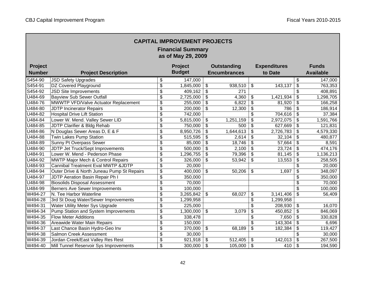| <b>CAPITAL IMPROVEMENT PROJECTS</b><br><b>Financial Summary</b><br>as of May 29, 2009 |                                               |                                  |               |                 |                     |                          |                     |                                      |                  |  |
|---------------------------------------------------------------------------------------|-----------------------------------------------|----------------------------------|---------------|-----------------|---------------------|--------------------------|---------------------|--------------------------------------|------------------|--|
| Project                                                                               |                                               |                                  | Project       |                 | <b>Outstanding</b>  |                          | <b>Expenditures</b> |                                      | <b>Funds</b>     |  |
| <b>Number</b>                                                                         | <b>Project Description</b>                    |                                  | <b>Budget</b> |                 | <b>Encumbrances</b> |                          | to Date             |                                      | <b>Available</b> |  |
| S454-90                                                                               | <b>JSD Safety Upgrades</b>                    | \$                               | 147,000       |                 |                     |                          |                     | \$                                   | 147,000          |  |
| S454-91                                                                               | DZ Covered Playground                         | \$                               | 1,845,000     | \$              | 938,510             | \$                       | 143,137             | $\boldsymbol{\mathsf{S}}$            | 763,353          |  |
| S454-92                                                                               | <b>JSD Site Improvements</b>                  | \$                               | 409,162       | \$              | 271                 |                          |                     | \$                                   | 408,891          |  |
| U484-69                                                                               | <b>Bayview Sub Sewer Outfall</b>              | $\frac{1}{2}$                    | 2,725,000     | \$              | 4,360               | \$                       | 1,421,934           | \$                                   | 1,298,705        |  |
| U484-76                                                                               | MWWTP VFD/Valve Actuator Replacement          | \$                               | 255,000       | \$              | 6,822               | \$                       | 81,920              | \$                                   | 166,258          |  |
| U484-80                                                                               | <b>JDTP Incinerator Repairs</b>               | \$                               | 200,000       | \$              | 12,300              | \$                       | 786                 | $\boldsymbol{\mathsf{S}}$            | 186,914          |  |
| U484-82                                                                               | <b>Hospital Drive Lift Station</b>            | $\overline{\mathcal{S}}$         | 742,000       |                 |                     | $\overline{\mathcal{S}}$ | 704,616             | $\overline{\mathcal{S}}$             | 37,384           |  |
| $\overline{U484 - 84}$                                                                | Lower W. Mend. Valley Sewer LID               | \$                               | 5,815,000     | \$              | 1,251,159           | \$                       | 2,972,075           | \$                                   | 1,591,766        |  |
| U484-85                                                                               | JDTP Clarifier & Bldg Rehab                   | $\overline{\$}$                  | 750,000       | $\overline{\$}$ | 500                 | \$                       | 627,669             | \$                                   | 121,831          |  |
| $\overline{\overline{\bigcup 484}}$ -86                                               | N Douglas Sewer Areas D, E & F                | \$                               | 8,950,726     | \$              | 1,644,613           | \$                       | 2,726,783           | $\overline{\mathbf{3}}$              | 4,579,330        |  |
| U484-88                                                                               | <b>Twin Lakes Pump Station</b>                | \$                               | 515,595       | \$              | 2,614               | \$                       | 32,104              | $\overline{\boldsymbol{\mathsf{s}}}$ | 480,877          |  |
| U484-89                                                                               | Sunny Pt Overpass Sewer                       | \$                               | 85,000        | \$              | 18,746              | \$                       | 57,664              | \$                                   | 8,591            |  |
| U484-90                                                                               | JDTP Jet Truck/Sept Improvements              | \$                               | 500,000       | \$              | 2,100               | \$                       | 23,724              | \$                                   | 474,176          |  |
| U484-91                                                                               | Lower W. Mend - Pederson Phase                | \$                               | 1,296,755     | \$              | 79,396              | $\overline{\mathbf{e}}$  | 81,145              | $\overline{\boldsymbol{\mathsf{s}}}$ | 1,136,213        |  |
| U484-92                                                                               | <b>MWTP Major Mech &amp; Control Repairs</b>  | $\overline{\mathcal{S}}$         | 326,000       | $\overline{\$}$ | 53,942              | $\overline{\mathbf{e}}$  | 13,553              | \$                                   | 258,505          |  |
| U484-93                                                                               | <b>Cannibal Treatment Eval MWTP &amp;JDTP</b> | $\overline{\mathcal{S}}$         | 20,000        |                 |                     |                          |                     | \$                                   | 20,000           |  |
| U484-94                                                                               | Outer Drive & North Juneau Pump St Repairs    | \$                               | 400,000       | \$              | 50,206              | \$                       | 1,697               | \$                                   | 348,097          |  |
| U484-97                                                                               | <b>JDTP</b> Aeration Basin Repair Ph I        | $\overline{\mathcal{S}}$         | 350,000       |                 |                     |                          |                     | \$                                   | 350,000          |  |
| U484-98                                                                               | <b>Biosolids Disposal Assessment</b>          | $\overline{\mathcal{S}}$         | 70,000        |                 |                     |                          |                     | \$                                   | 70,000           |  |
| U484-99                                                                               | <b>Berners Ave Sewer Improvements</b>         | \$                               | 100,000       |                 |                     |                          |                     | \$                                   | 100,000          |  |
| W494-27                                                                               | N. Tee Harbor Waterline                       | \$                               | 3,265,842     | \$              | 68,027              | \$                       | 3,141,406           | \$                                   | 56,409           |  |
| W494-28                                                                               | 3rd St Doug Water/Sewer Improvements          | \$                               | 1,299,958     |                 |                     | \$                       | 1,299,958           |                                      |                  |  |
| W494-31                                                                               | Water Utility Meter Sys Upgrade               | $\overline{\mathcal{S}}$         | 225,000       |                 |                     | $\overline{\mathbf{S}}$  | 208,930             | \$                                   | 16,070           |  |
| W494-34                                                                               | Pump Station and System Improvements          | $\overline{\boldsymbol{\theta}}$ | 1,300,000     | \$              | 3,079               | $\overline{\mathbf{e}}$  | 450,852             | \$                                   | 846,069          |  |
| W494-35                                                                               | <b>Flow Meter Additions</b>                   | $\overline{\boldsymbol{\theta}}$ | 338,478       |                 |                     | \$                       | 7,650               | $\boldsymbol{\mathsf{S}}$            | 330,828          |  |
| W494-36                                                                               | Areawide Water Main Repairs                   | $\overline{\boldsymbol{\theta}}$ | 150,000       |                 |                     | \$                       | 143,304             | \$                                   | 6,696            |  |
| W494-37                                                                               | Last Chance Basin Hydro-Geo Inv               | $\overline{\$}$                  | 370,000       | \$              | 68,189              | \$                       | 182,384             | \$                                   | 119,427          |  |
| W494-38                                                                               | Salmon Creek Assessment                       | $\overline{\boldsymbol{\theta}}$ | 30,000        |                 |                     |                          |                     | \$                                   | 30,000           |  |
| W494-39                                                                               | Jordan Creek/East Valley Res Rest             | $\overline{\$}$                  | 921,918       | \$              | 512,405             | \$                       | 142,013             | \$                                   | 267,500          |  |
| W494-40                                                                               | Mill Tunnel Reservoir Sys Improvements        | $\overline{\mathbf{3}}$          | 300,000       | \$              | 105,000             | $\overline{\mathcal{S}}$ | 410                 | \$                                   | 194,590          |  |